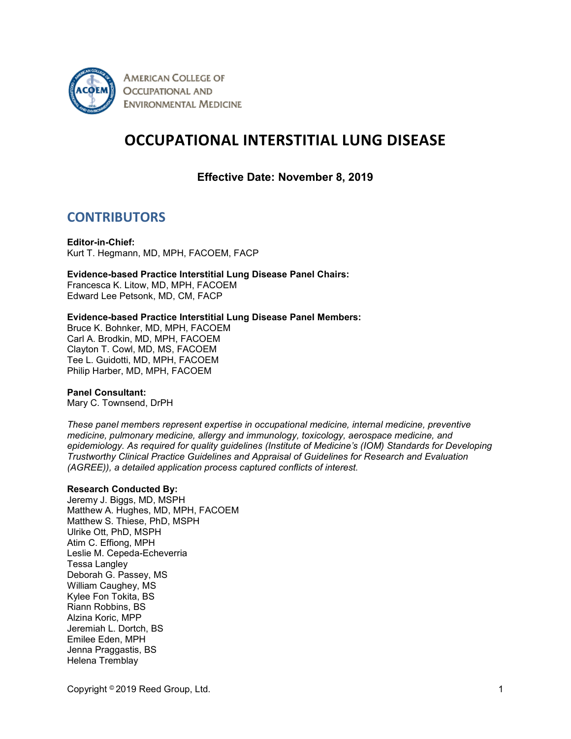

**AMERICAN COLLEGE OF OCCUPATIONAL AND ENVIRONMENTAL MEDICINE** 

# **OCCUPATIONAL INTERSTITIAL LUNG DISEASE**

**Effective Date: November 8, 2019**

## **CONTRIBUTORS**

**Editor-in-Chief:** Kurt T. Hegmann, MD, MPH, FACOEM, FACP

#### **Evidence-based Practice Interstitial Lung Disease Panel Chairs:**

Francesca K. Litow, MD, MPH, FACOEM Edward Lee Petsonk, MD, CM, FACP

#### **Evidence-based Practice Interstitial Lung Disease Panel Members:**

Bruce K. Bohnker, MD, MPH, FACOEM Carl A. Brodkin, MD, MPH, FACOEM Clayton T. Cowl, MD, MS, FACOEM Tee L. Guidotti, MD, MPH, FACOEM Philip Harber, MD, MPH, FACOEM

#### **Panel Consultant:**

Mary C. Townsend, DrPH

*These panel members represent expertise in occupational medicine, internal medicine, preventive medicine, pulmonary medicine, allergy and immunology, toxicology, aerospace medicine, and epidemiology. As required for quality guidelines (Institute of Medicine's (IOM) Standards for Developing Trustworthy Clinical Practice Guidelines and Appraisal of Guidelines for Research and Evaluation (AGREE)), a detailed application process captured conflicts of interest.*

#### **Research Conducted By:**

Jeremy J. Biggs, MD, MSPH Matthew A. Hughes, MD, MPH, FACOEM Matthew S. Thiese, PhD, MSPH Ulrike Ott, PhD, MSPH Atim C. Effiong, MPH Leslie M. Cepeda-Echeverria Tessa Langley Deborah G. Passey, MS William Caughey, MS Kylee Fon Tokita, BS Riann Robbins, BS Alzina Koric, MPP Jeremiah L. Dortch, BS Emilee Eden, MPH Jenna Praggastis, BS Helena Tremblay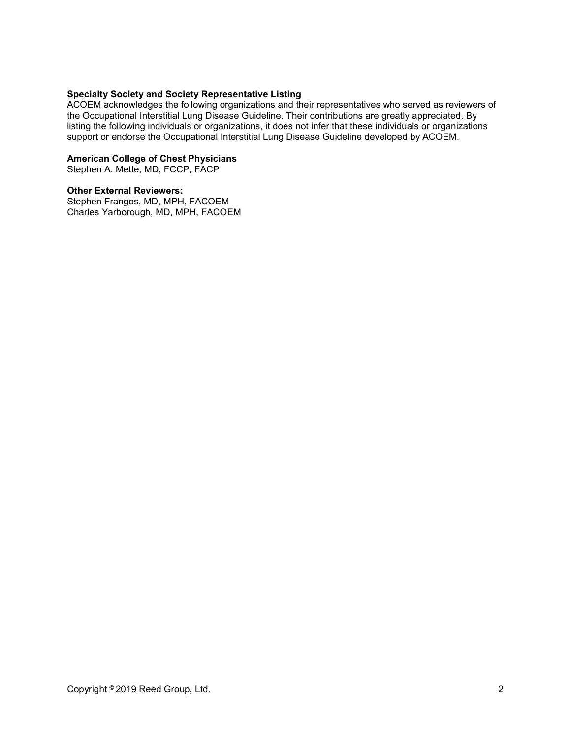#### **Specialty Society and Society Representative Listing**

ACOEM acknowledges the following organizations and their representatives who served as reviewers of the Occupational Interstitial Lung Disease Guideline. Their contributions are greatly appreciated. By listing the following individuals or organizations, it does not infer that these individuals or organizations support or endorse the Occupational Interstitial Lung Disease Guideline developed by ACOEM.

#### **American College of Chest Physicians**

Stephen A. Mette, MD, FCCP, FACP

#### **Other External Reviewers:**

Stephen Frangos, MD, MPH, FACOEM Charles Yarborough, MD, MPH, FACOEM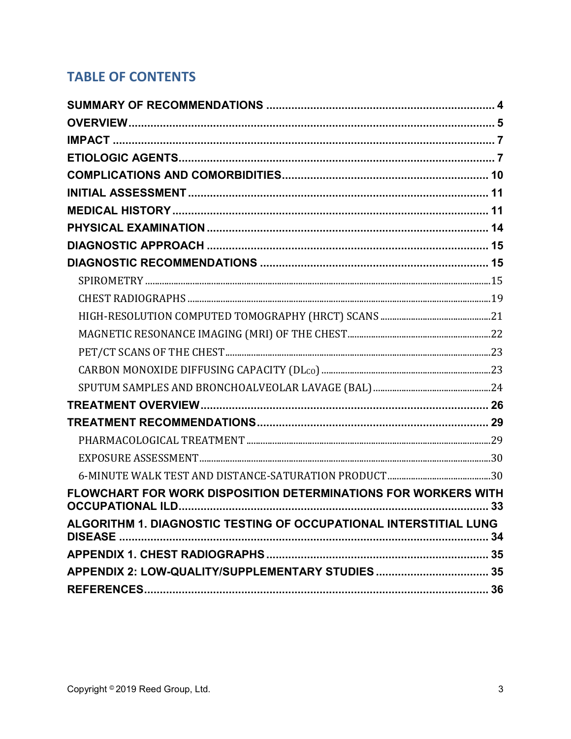# **TABLE OF CONTENTS**

| FLOWCHART FOR WORK DISPOSITION DETERMINATIONS FOR WORKERS WITH    |  |
|-------------------------------------------------------------------|--|
| ALGORITHM 1. DIAGNOSTIC TESTING OF OCCUPATIONAL INTERSTITIAL LUNG |  |
|                                                                   |  |
|                                                                   |  |
|                                                                   |  |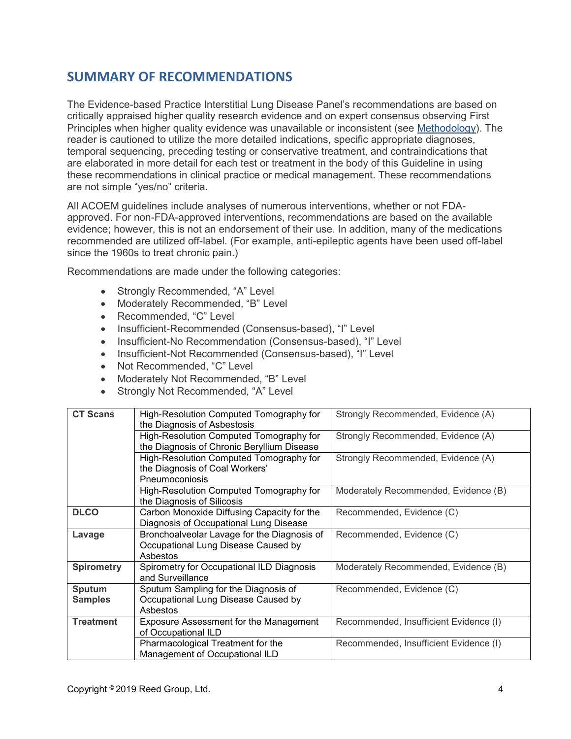## <span id="page-3-0"></span>**SUMMARY OF RECOMMENDATIONS**

The Evidence-based Practice Interstitial Lung Disease Panel's recommendations are based on critically appraised higher quality research evidence and on expert consensus observing First Principles when higher quality evidence was unavailable or inconsistent (see [Methodology\)](https://www.mdguidelines.com/acoem/methodology). The reader is cautioned to utilize the more detailed indications, specific appropriate diagnoses, temporal sequencing, preceding testing or conservative treatment, and contraindications that are elaborated in more detail for each test or treatment in the body of this Guideline in using these recommendations in clinical practice or medical management. These recommendations are not simple "yes/no" criteria.

All ACOEM guidelines include analyses of numerous interventions, whether or not FDAapproved. For non-FDA-approved interventions, recommendations are based on the available evidence; however, this is not an endorsement of their use. In addition, many of the medications recommended are utilized off-label. (For example, anti-epileptic agents have been used off-label since the 1960s to treat chronic pain.)

Recommendations are made under the following categories:

- Strongly Recommended, "A" Level
- Moderately Recommended, "B" Level
- Recommended, "C" Level
- Insufficient-Recommended (Consensus-based), "I" Level
- Insufficient-No Recommendation (Consensus-based), "I" Level
- Insufficient-Not Recommended (Consensus-based), "I" Level
- Not Recommended, "C" Level
- Moderately Not Recommended, "B" Level
- Strongly Not Recommended, "A" Level

| <b>CT Scans</b>   | High-Resolution Computed Tomography for<br>Strongly Recommended, Evidence (A) |                                        |
|-------------------|-------------------------------------------------------------------------------|----------------------------------------|
|                   | the Diagnosis of Asbestosis                                                   |                                        |
|                   | High-Resolution Computed Tomography for                                       | Strongly Recommended, Evidence (A)     |
|                   | the Diagnosis of Chronic Beryllium Disease                                    |                                        |
|                   | High-Resolution Computed Tomography for                                       | Strongly Recommended, Evidence (A)     |
|                   | the Diagnosis of Coal Workers'                                                |                                        |
|                   | Pneumoconiosis                                                                |                                        |
|                   | High-Resolution Computed Tomography for                                       | Moderately Recommended, Evidence (B)   |
|                   | the Diagnosis of Silicosis                                                    |                                        |
| <b>DLCO</b>       | Carbon Monoxide Diffusing Capacity for the                                    | Recommended, Evidence (C)              |
|                   | Diagnosis of Occupational Lung Disease                                        |                                        |
| Lavage            | Bronchoalveolar Lavage for the Diagnosis of                                   | Recommended, Evidence (C)              |
|                   | Occupational Lung Disease Caused by                                           |                                        |
|                   | Asbestos                                                                      |                                        |
| <b>Spirometry</b> | Spirometry for Occupational ILD Diagnosis                                     | Moderately Recommended, Evidence (B)   |
|                   | and Surveillance                                                              |                                        |
| Sputum            | Sputum Sampling for the Diagnosis of                                          | Recommended, Evidence (C)              |
| <b>Samples</b>    | Occupational Lung Disease Caused by                                           |                                        |
|                   | Asbestos                                                                      |                                        |
| <b>Treatment</b>  | <b>Exposure Assessment for the Management</b>                                 | Recommended, Insufficient Evidence (I) |
|                   | of Occupational ILD                                                           |                                        |
|                   | Pharmacological Treatment for the                                             | Recommended, Insufficient Evidence (I) |
|                   | Management of Occupational ILD                                                |                                        |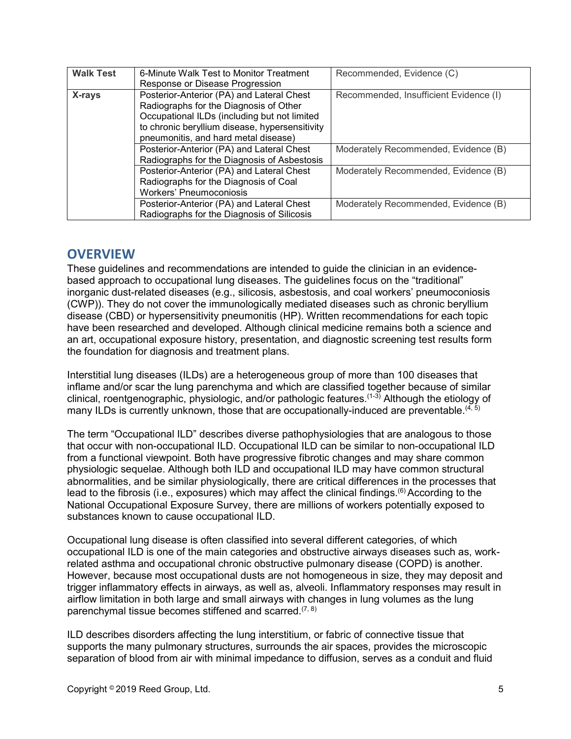| <b>Walk Test</b> | 6-Minute Walk Test to Monitor Treatment<br>Response or Disease Progression                                                                                                                                                    | Recommended, Evidence (C)              |
|------------------|-------------------------------------------------------------------------------------------------------------------------------------------------------------------------------------------------------------------------------|----------------------------------------|
| X-rays           | Posterior-Anterior (PA) and Lateral Chest<br>Radiographs for the Diagnosis of Other<br>Occupational ILDs (including but not limited<br>to chronic beryllium disease, hypersensitivity<br>pneumonitis, and hard metal disease) | Recommended, Insufficient Evidence (I) |
|                  | Posterior-Anterior (PA) and Lateral Chest<br>Radiographs for the Diagnosis of Asbestosis                                                                                                                                      | Moderately Recommended, Evidence (B)   |
|                  | Posterior-Anterior (PA) and Lateral Chest<br>Radiographs for the Diagnosis of Coal<br><b>Workers' Pneumoconiosis</b>                                                                                                          | Moderately Recommended, Evidence (B)   |
|                  | Posterior-Anterior (PA) and Lateral Chest<br>Radiographs for the Diagnosis of Silicosis                                                                                                                                       | Moderately Recommended, Evidence (B)   |

## <span id="page-4-0"></span>**OVERVIEW**

These guidelines and recommendations are intended to guide the clinician in an evidencebased approach to occupational lung diseases. The guidelines focus on the "traditional" inorganic dust-related diseases (e.g., silicosis, asbestosis, and coal workers' pneumoconiosis (CWP)). They do not cover the immunologically mediated diseases such as chronic beryllium disease (CBD) or hypersensitivity pneumonitis (HP). Written recommendations for each topic have been researched and developed. Although clinical medicine remains both a science and an art, occupational exposure history, presentation, and diagnostic screening test results form the foundation for diagnosis and treatment plans.

Interstitial lung diseases (ILDs) are a heterogeneous group of more than 100 diseases that inflame and/or scar the lung parenchyma and which are classified together because of similar clinical, roentgenographic, physiologic, and/or pathologic features.(1-3) Although the etiology of many ILDs is currently unknown, those that are occupationally-induced are preventable.  $(4, 5)$ 

The term "Occupational ILD" describes diverse pathophysiologies that are analogous to those that occur with non-occupational ILD. Occupational ILD can be similar to non-occupational ILD from a functional viewpoint. Both have progressive fibrotic changes and may share common physiologic sequelae. Although both ILD and occupational ILD may have common structural abnormalities, and be similar physiologically, there are critical differences in the processes that lead to the fibrosis (i.e., exposures) which may affect the clinical findings.<sup>(6)</sup> According to the National Occupational Exposure Survey, there are millions of workers potentially exposed to substances known to cause occupational ILD.

Occupational lung disease is often classified into several different categories, of which occupational ILD is one of the main categories and obstructive airways diseases such as, workrelated asthma and occupational chronic obstructive pulmonary disease (COPD) is another. However, because most occupational dusts are not homogeneous in size, they may deposit and trigger inflammatory effects in airways, as well as, alveoli. Inflammatory responses may result in airflow limitation in both large and small airways with changes in lung volumes as the lung parenchymal tissue becomes stiffened and scarred.<sup> $(7, 8)$ </sup>

ILD describes disorders affecting the lung interstitium, or fabric of connective tissue that supports the many pulmonary structures, surrounds the air spaces, provides the microscopic separation of blood from air with minimal impedance to diffusion, serves as a conduit and fluid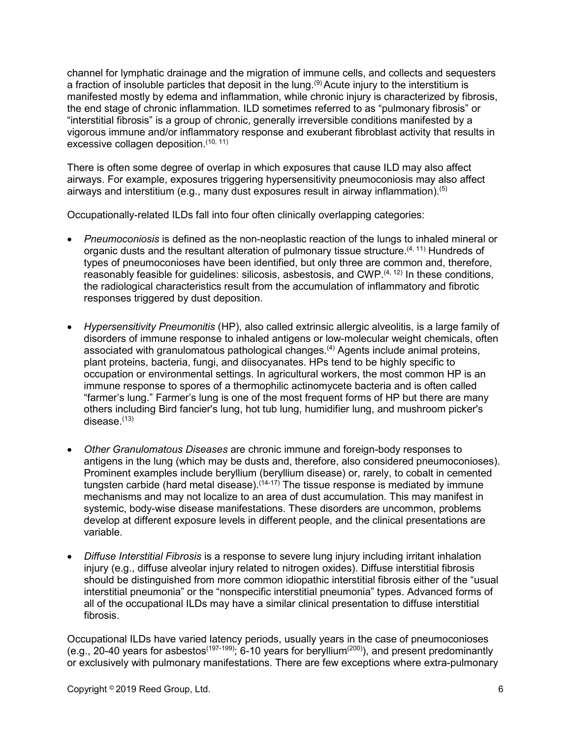channel for lymphatic drainage and the migration of immune cells, and collects and sequesters a fraction of insoluble particles that deposit in the lung.<sup>(9)</sup> Acute injury to the interstitium is manifested mostly by edema and inflammation, while chronic injury is characterized by fibrosis, the end stage of chronic inflammation. ILD sometimes referred to as "pulmonary fibrosis" or "interstitial fibrosis" is a group of chronic, generally irreversible conditions manifested by a vigorous immune and/or inflammatory response and exuberant fibroblast activity that results in excessive collagen deposition.<sup>(10, 11)</sup>

There is often some degree of overlap in which exposures that cause ILD may also affect airways. For example, exposures triggering hypersensitivity pneumoconiosis may also affect airways and interstitium (e.g., many dust exposures result in airway inflammation). $^{\left( 5\right) }$ 

Occupationally-related ILDs fall into four often clinically overlapping categories:

- *Pneumoconiosis* is defined as the non-neoplastic reaction of the lungs to inhaled mineral or organic dusts and the resultant alteration of pulmonary tissue structure.<sup>(4, 11)</sup> Hundreds of types of pneumoconioses have been identified, but only three are common and, therefore, reasonably feasible for guidelines: silicosis, asbestosis, and CWP.<sup>(4, 12)</sup> In these conditions, the radiological characteristics result from the accumulation of inflammatory and fibrotic responses triggered by dust deposition.
- *Hypersensitivity Pneumonitis* (HP), also called extrinsic allergic alveolitis, is a large family of disorders of immune response to inhaled antigens or low-molecular weight chemicals, often associated with granulomatous pathological changes.<sup>(4)</sup> Agents include animal proteins, plant proteins, bacteria, fungi, and diisocyanates. HPs tend to be highly specific to occupation or environmental settings. In agricultural workers, the most common HP is an immune response to spores of a thermophilic actinomycete bacteria and is often called "farmer's lung." Farmer's lung is one of the most frequent forms of HP but there are many others including Bird fancier's lung, hot tub lung, humidifier lung, and mushroom picker's disease.<sup>(13)</sup>
- *Other Granulomatous Diseases* are chronic immune and foreign-body responses to antigens in the lung (which may be dusts and, therefore, also considered pneumoconioses). Prominent examples include beryllium (beryllium disease) or, rarely, to cobalt in cemented tungsten carbide (hard metal disease). $(14-17)$  The tissue response is mediated by immune mechanisms and may not localize to an area of dust accumulation. This may manifest in systemic, body-wise disease manifestations. These disorders are uncommon, problems develop at different exposure levels in different people, and the clinical presentations are variable.
- *Diffuse Interstitial Fibrosis* is a response to severe lung injury including irritant inhalation injury (e.g., diffuse alveolar injury related to nitrogen oxides). Diffuse interstitial fibrosis should be distinguished from more common idiopathic interstitial fibrosis either of the "usual interstitial pneumonia" or the "nonspecific interstitial pneumonia" types. Advanced forms of all of the occupational ILDs may have a similar clinical presentation to diffuse interstitial fibrosis.

Occupational ILDs have varied latency periods, usually years in the case of pneumoconioses (e.g., 20-40 years for asbestos<sup>(197-199)</sup>; 6-10 years for beryllium<sup>(200)</sup>), and present predominantly or exclusively with pulmonary manifestations. There are few exceptions where extra-pulmonary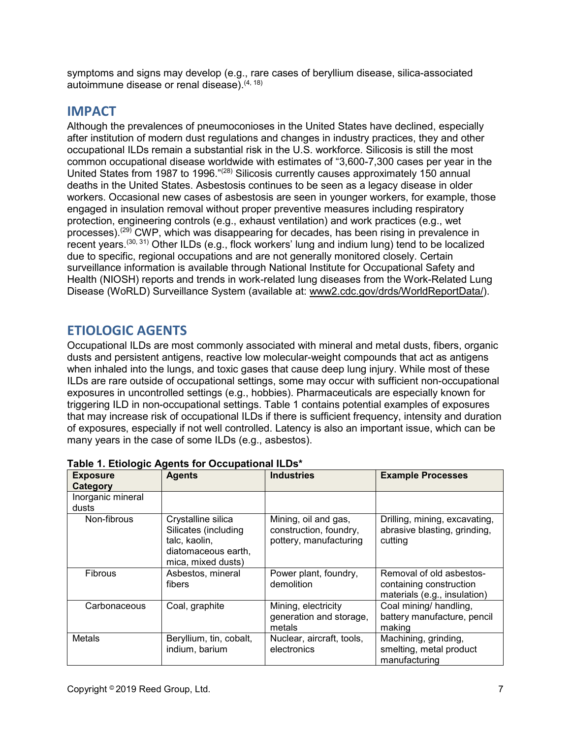symptoms and signs may develop (e.g., rare cases of beryllium disease, silica-associated autoimmune disease or renal disease).(4, 18)

## <span id="page-6-0"></span>**IMPACT**

Although the prevalences of pneumoconioses in the United States have declined, especially after institution of modern dust regulations and changes in industry practices, they and other occupational ILDs remain a substantial risk in the U.S. workforce. Silicosis is still the most common occupational disease worldwide with estimates of "3,600-7,300 cases per year in the United States from 1987 to 1996.<sup>"(28)</sup> Silicosis currently causes approximately 150 annual deaths in the United States. Asbestosis continues to be seen as a legacy disease in older workers. Occasional new cases of asbestosis are seen in younger workers, for example, those engaged in insulation removal without proper preventive measures including respiratory protection, engineering controls (e.g., exhaust ventilation) and work practices (e.g., wet processes).<sup>(29)</sup> CWP, which was disappearing for decades, has been rising in prevalence in recent years.(30, 31) Other ILDs (e.g., flock workers' lung and indium lung) tend to be localized due to specific, regional occupations and are not generally monitored closely. Certain surveillance information is available through National Institute for Occupational Safety and Health (NIOSH) reports and trends in work-related lung diseases from the Work-Related Lung Disease (WoRLD) Surveillance System (available at: [www2.cdc.gov/drds/WorldReportData/\)](http://www2.cdc.gov/drds/WorldReportData/).

## <span id="page-6-1"></span>**ETIOLOGIC AGENTS**

Occupational ILDs are most commonly associated with mineral and metal dusts, fibers, organic dusts and persistent antigens, reactive low molecular-weight compounds that act as antigens when inhaled into the lungs, and toxic gases that cause deep lung injury. While most of these ILDs are rare outside of occupational settings, some may occur with sufficient non-occupational exposures in uncontrolled settings (e.g., hobbies). Pharmaceuticals are especially known for triggering ILD in non-occupational settings. Table 1 contains potential examples of exposures that may increase risk of occupational ILDs if there is sufficient frequency, intensity and duration of exposures, especially if not well controlled. Latency is also an important issue, which can be many years in the case of some ILDs (e.g., asbestos).

| • ອ • •<br><b>Exposure</b><br>Category | <b>Agents</b>                                                                                            | <b>Industries</b>                                                        | <b>Example Processes</b>                                                            |
|----------------------------------------|----------------------------------------------------------------------------------------------------------|--------------------------------------------------------------------------|-------------------------------------------------------------------------------------|
| Inorganic mineral<br>dusts             |                                                                                                          |                                                                          |                                                                                     |
| Non-fibrous                            | Crystalline silica<br>Silicates (including<br>talc, kaolin,<br>diatomaceous earth,<br>mica, mixed dusts) | Mining, oil and gas,<br>construction, foundry,<br>pottery, manufacturing | Drilling, mining, excavating,<br>abrasive blasting, grinding,<br>cutting            |
| <b>Fibrous</b>                         | Asbestos, mineral<br>fibers                                                                              | Power plant, foundry,<br>demolition                                      | Removal of old asbestos-<br>containing construction<br>materials (e.g., insulation) |
| Carbonaceous                           | Coal, graphite                                                                                           | Mining, electricity<br>generation and storage,<br>metals                 | Coal mining/ handling,<br>battery manufacture, pencil<br>making                     |
| Metals                                 | Beryllium, tin, cobalt,<br>indium, barium                                                                | Nuclear, aircraft, tools,<br>electronics                                 | Machining, grinding,<br>smelting, metal product<br>manufacturing                    |

### **Table 1. Etiologic Agents for Occupational ILDs\***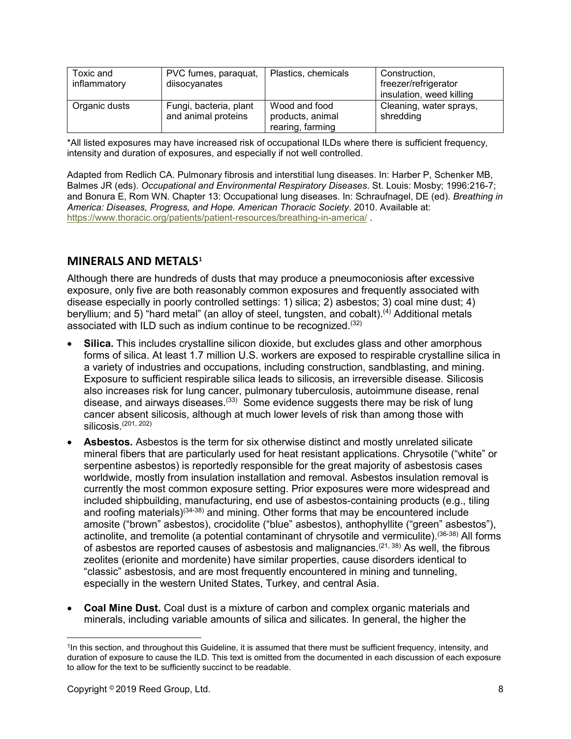| Toxic and<br>inflammatory | PVC fumes, paraquat,<br>diisocyanates         | Plastics, chemicals                                   | Construction,<br>freezer/refrigerator<br>insulation, weed killing |
|---------------------------|-----------------------------------------------|-------------------------------------------------------|-------------------------------------------------------------------|
| Organic dusts             | Fungi, bacteria, plant<br>and animal proteins | Wood and food<br>products, animal<br>rearing, farming | Cleaning, water sprays,<br>shredding                              |

\*All listed exposures may have increased risk of occupational ILDs where there is sufficient frequency, intensity and duration of exposures, and especially if not well controlled.

Adapted from Redlich CA. Pulmonary fibrosis and interstitial lung diseases. In: Harber P, Schenker MB, Balmes JR (eds). *Occupational and Environmental Respiratory Diseases*. St. Louis: Mosby; 1996:216-7; and Bonura E, Rom WN. Chapter 13: Occupational lung diseases. In: Schraufnagel, DE (ed). *Breathing in America: Diseases, Progress, and Hope. American Thoracic Society*. 2010. Available at: <https://www.thoracic.org/patients/patient-resources/breathing-in-america/> .

### **MINERALS AND METALS[1](#page-7-0)**

Although there are hundreds of dusts that may produce a pneumoconiosis after excessive exposure, only five are both reasonably common exposures and frequently associated with disease especially in poorly controlled settings: 1) silica; 2) asbestos; 3) coal mine dust; 4) beryllium; and 5) "hard metal" (an alloy of steel, tungsten, and cobalt).<sup>(4)</sup> Additional metals associated with ILD such as indium continue to be recognized.(32)

- **Silica.** This includes crystalline silicon dioxide, but excludes glass and other amorphous forms of silica. At least 1.7 million U.S. workers are exposed to respirable crystalline silica in a variety of industries and occupations, including construction, sandblasting, and mining. Exposure to sufficient respirable silica leads to silicosis, an irreversible disease. Silicosis also increases risk for lung cancer, pulmonary tuberculosis, autoimmune disease, renal disease, and airways diseases.<sup>(33)</sup> Some evidence suggests there may be risk of lung cancer absent silicosis, although at much lower levels of risk than among those with  $silicosis.$ <sup> $(201, 202)$ </sup>
- **Asbestos.** Asbestos is the term for six otherwise distinct and mostly unrelated silicate mineral fibers that are particularly used for heat resistant applications. Chrysotile ("white" or serpentine asbestos) is reportedly responsible for the great majority of asbestosis cases worldwide, mostly from insulation installation and removal. Asbestos insulation removal is currently the most common exposure setting. Prior exposures were more widespread and included shipbuilding, manufacturing, end use of asbestos-containing products (e.g., tiling and roofing materials) $(34-38)$  and mining. Other forms that may be encountered include amosite ("brown" asbestos), crocidolite ("blue" asbestos), anthophyllite ("green" asbestos"), actinolite, and tremolite (a potential contaminant of chrysotile and vermiculite).<sup>(36-38)</sup> All forms of asbestos are reported causes of asbestosis and malignancies.<sup>(21, 38)</sup> As well, the fibrous zeolites (erionite and mordenite) have similar properties, cause disorders identical to "classic" asbestosis, and are most frequently encountered in mining and tunneling, especially in the western United States, Turkey, and central Asia.
- **Coal Mine Dust.** Coal dust is a mixture of carbon and complex organic materials and minerals, including variable amounts of silica and silicates. In general, the higher the

<span id="page-7-0"></span><sup>1</sup>In this section, and throughout this Guideline, it is assumed that there must be sufficient frequency, intensity, and duration of exposure to cause the ILD. This text is omitted from the documented in each discussion of each exposure to allow for the text to be sufficiently succinct to be readable.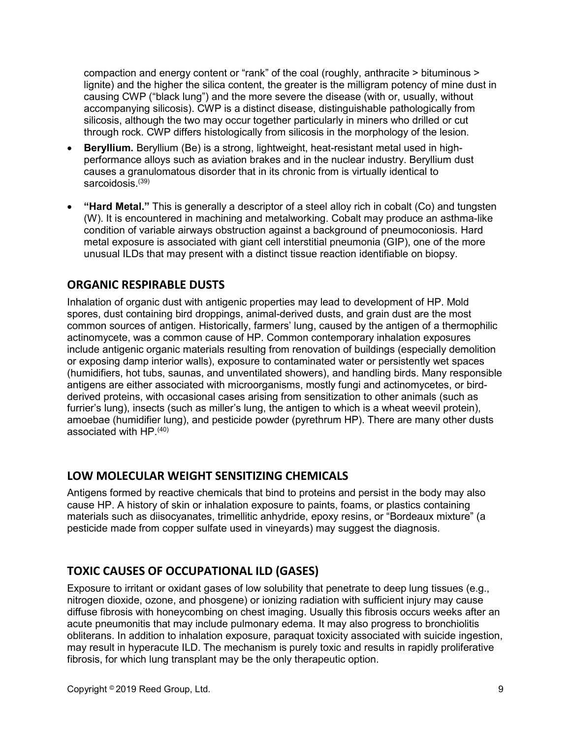compaction and energy content or "rank" of the coal (roughly, anthracite > bituminous > lignite) and the higher the silica content, the greater is the milligram potency of mine dust in causing CWP ("black lung") and the more severe the disease (with or, usually, without accompanying silicosis). CWP is a distinct disease, distinguishable pathologically from silicosis, although the two may occur together particularly in miners who drilled or cut through rock. CWP differs histologically from silicosis in the morphology of the lesion.

- **Beryllium.** Beryllium (Be) is a strong, lightweight, heat-resistant metal used in highperformance alloys such as aviation brakes and in the nuclear industry. Beryllium dust causes a granulomatous disorder that in its chronic from is virtually identical to sarcoidosis<sup>(39)</sup>
- **"Hard Metal."** This is generally a descriptor of a steel alloy rich in cobalt (Co) and tungsten (W). It is encountered in machining and metalworking. Cobalt may produce an asthma-like condition of variable airways obstruction against a background of pneumoconiosis. Hard metal exposure is associated with giant cell interstitial pneumonia (GIP), one of the more unusual ILDs that may present with a distinct tissue reaction identifiable on biopsy.

## **ORGANIC RESPIRABLE DUSTS**

Inhalation of organic dust with antigenic properties may lead to development of HP. Mold spores, dust containing bird droppings, animal-derived dusts, and grain dust are the most common sources of antigen. Historically, farmers' lung, caused by the antigen of a thermophilic actinomycete, was a common cause of HP. Common contemporary inhalation exposures include antigenic organic materials resulting from renovation of buildings (especially demolition or exposing damp interior walls), exposure to contaminated water or persistently wet spaces (humidifiers, hot tubs, saunas, and unventilated showers), and handling birds. Many responsible antigens are either associated with microorganisms, mostly fungi and actinomycetes, or birdderived proteins, with occasional cases arising from sensitization to other animals (such as furrier's lung), insects (such as miller's lung, the antigen to which is a wheat weevil protein), amoebae (humidifier lung), and pesticide powder (pyrethrum HP). There are many other dusts associated with HP.(40)

## **LOW MOLECULAR WEIGHT SENSITIZING CHEMICALS**

Antigens formed by reactive chemicals that bind to proteins and persist in the body may also cause HP. A history of skin or inhalation exposure to paints, foams, or plastics containing materials such as diisocyanates, trimellitic anhydride, epoxy resins, or "Bordeaux mixture" (a pesticide made from copper sulfate used in vineyards) may suggest the diagnosis.

## **TOXIC CAUSES OF OCCUPATIONAL ILD (GASES)**

Exposure to irritant or oxidant gases of low solubility that penetrate to deep lung tissues (e.g., nitrogen dioxide, ozone, and phosgene) or ionizing radiation with sufficient injury may cause diffuse fibrosis with honeycombing on chest imaging. Usually this fibrosis occurs weeks after an acute pneumonitis that may include pulmonary edema. It may also progress to bronchiolitis obliterans. In addition to inhalation exposure, paraquat toxicity associated with suicide ingestion, may result in hyperacute ILD. The mechanism is purely toxic and results in rapidly proliferative fibrosis, for which lung transplant may be the only therapeutic option.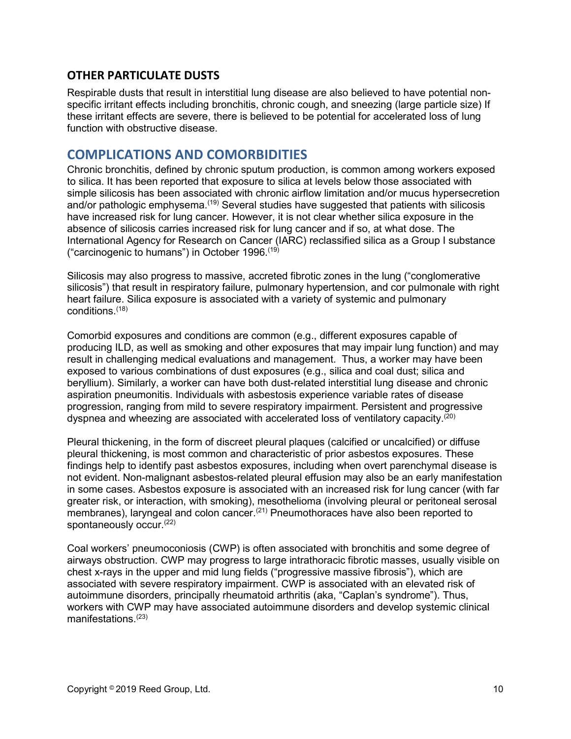### **OTHER PARTICULATE DUSTS**

Respirable dusts that result in interstitial lung disease are also believed to have potential nonspecific irritant effects including bronchitis, chronic cough, and sneezing (large particle size) If these irritant effects are severe, there is believed to be potential for accelerated loss of lung function with obstructive disease.

## <span id="page-9-0"></span>**COMPLICATIONS AND COMORBIDITIES**

Chronic bronchitis, defined by chronic sputum production, is common among workers exposed to silica. It has been reported that exposure to silica at levels below those associated with simple silicosis has been associated with chronic airflow limitation and/or mucus hypersecretion and/or pathologic emphysema.<sup>(19)</sup> Several studies have suggested that patients with silicosis have increased risk for lung cancer. However, it is not clear whether silica exposure in the absence of silicosis carries increased risk for lung cancer and if so, at what dose. The International Agency for Research on Cancer (IARC) reclassified silica as a Group I substance ("carcinogenic to humans") in October 1996.(19)

Silicosis may also progress to massive, accreted fibrotic zones in the lung ("conglomerative silicosis") that result in respiratory failure, pulmonary hypertension, and cor pulmonale with right heart failure. Silica exposure is associated with a variety of systemic and pulmonary conditions.(18)

Comorbid exposures and conditions are common (e.g., different exposures capable of producing ILD, as well as smoking and other exposures that may impair lung function) and may result in challenging medical evaluations and management. Thus, a worker may have been exposed to various combinations of dust exposures (e.g., silica and coal dust; silica and beryllium). Similarly, a worker can have both dust-related interstitial lung disease and chronic aspiration pneumonitis. Individuals with asbestosis experience variable rates of disease progression, ranging from mild to severe respiratory impairment. Persistent and progressive dyspnea and wheezing are associated with accelerated loss of ventilatory capacity. $(20)$ 

Pleural thickening, in the form of discreet pleural plaques (calcified or uncalcified) or diffuse pleural thickening, is most common and characteristic of prior asbestos exposures. These findings help to identify past asbestos exposures, including when overt parenchymal disease is not evident. Non-malignant asbestos-related pleural effusion may also be an early manifestation in some cases. Asbestos exposure is associated with an increased risk for lung cancer (with far greater risk, or interaction, with smoking), mesothelioma (involving pleural or peritoneal serosal membranes), laryngeal and colon cancer.<sup>(21)</sup> Pneumothoraces have also been reported to spontaneously occur.<sup>(22)</sup>

Coal workers' pneumoconiosis (CWP) is often associated with bronchitis and some degree of airways obstruction. CWP may progress to large intrathoracic fibrotic masses, usually visible on chest x-rays in the upper and mid lung fields ("progressive massive fibrosis"), which are associated with severe respiratory impairment. CWP is associated with an elevated risk of autoimmune disorders, principally rheumatoid arthritis (aka, "Caplan's syndrome"). Thus, workers with CWP may have associated autoimmune disorders and develop systemic clinical manifestations.(23)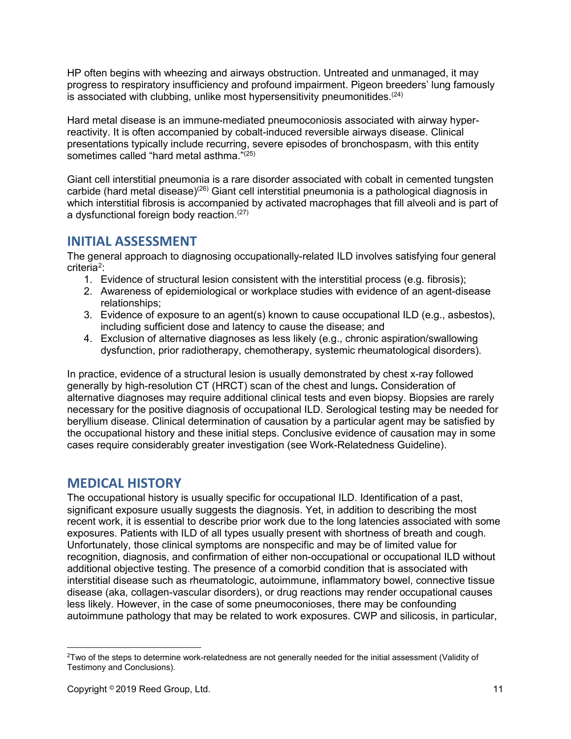HP often begins with wheezing and airways obstruction. Untreated and unmanaged, it may progress to respiratory insufficiency and profound impairment. Pigeon breeders' lung famously is associated with clubbing, unlike most hypersensitivity pneumonitides. $(24)$ 

Hard metal disease is an immune-mediated pneumoconiosis associated with airway hyperreactivity. It is often accompanied by cobalt-induced reversible airways disease. Clinical presentations typically include recurring, severe episodes of bronchospasm, with this entity sometimes called "hard metal asthma."<sup>(25)</sup>

Giant cell interstitial pneumonia is a rare disorder associated with cobalt in cemented tungsten carbide (hard metal disease)<sup>(26)</sup> Giant cell interstitial pneumonia is a pathological diagnosis in which interstitial fibrosis is accompanied by activated macrophages that fill alveoli and is part of a dysfunctional foreign body reaction.(27)

## <span id="page-10-0"></span>**INITIAL ASSESSMENT**

The general approach to diagnosing occupationally-related ILD involves satisfying four general criteria<sup>2</sup>:

- 1. Evidence of structural lesion consistent with the interstitial process (e.g. fibrosis);
- 2. Awareness of epidemiological or workplace studies with evidence of an agent-disease relationships;
- 3. Evidence of exposure to an agent(s) known to cause occupational ILD (e.g., asbestos), including sufficient dose and latency to cause the disease; and
- 4. Exclusion of alternative diagnoses as less likely (e.g., chronic aspiration/swallowing dysfunction, prior radiotherapy, chemotherapy, systemic rheumatological disorders).

In practice, evidence of a structural lesion is usually demonstrated by chest x-ray followed generally by high-resolution CT (HRCT) scan of the chest and lungs**.** Consideration of alternative diagnoses may require additional clinical tests and even biopsy. Biopsies are rarely necessary for the positive diagnosis of occupational ILD. Serological testing may be needed for beryllium disease. Clinical determination of causation by a particular agent may be satisfied by the occupational history and these initial steps. Conclusive evidence of causation may in some cases require considerably greater investigation (see Work-Relatedness Guideline).

## <span id="page-10-1"></span>**MEDICAL HISTORY**

The occupational history is usually specific for occupational ILD. Identification of a past, significant exposure usually suggests the diagnosis. Yet, in addition to describing the most recent work, it is essential to describe prior work due to the long latencies associated with some exposures. Patients with ILD of all types usually present with shortness of breath and cough. Unfortunately, those clinical symptoms are nonspecific and may be of limited value for recognition, diagnosis, and confirmation of either non-occupational or occupational ILD without additional objective testing. The presence of a comorbid condition that is associated with interstitial disease such as rheumatologic, autoimmune, inflammatory bowel, connective tissue disease (aka, collagen-vascular disorders), or drug reactions may render occupational causes less likely. However, in the case of some pneumoconioses, there may be confounding autoimmune pathology that may be related to work exposures. CWP and silicosis, in particular,

<span id="page-10-2"></span><sup>&</sup>lt;sup>2</sup>Two of the steps to determine work-relatedness are not generally needed for the initial assessment (Validity of Testimony and Conclusions).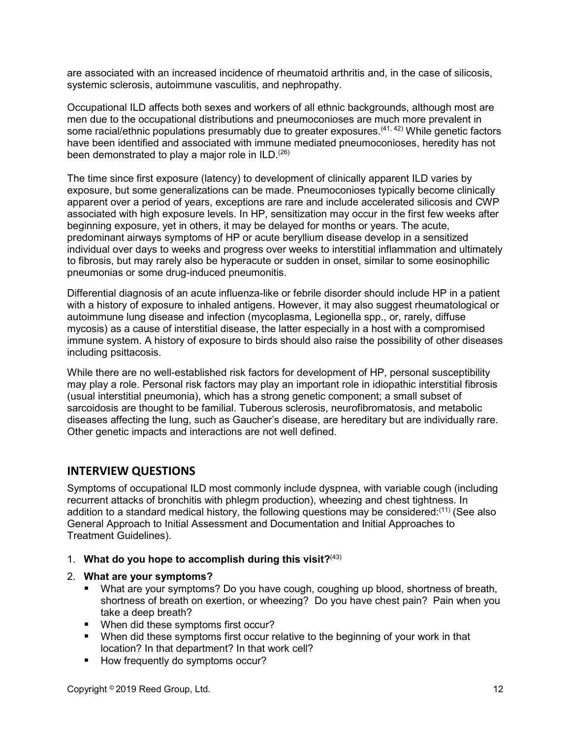are associated with an increased incidence of rheumatoid arthritis and, in the case of silicosis, systemic sclerosis, autoimmune vasculitis, and nephropathy.

Occupational ILD affects both sexes and workers of all ethnic backgrounds, although most are men due to the occupational distributions and pneumoconioses are much more prevalent in some racial/ethnic populations presumably due to greater exposures.<sup>(41, 42)</sup> While genetic factors have been identified and associated with immune mediated pneumoconioses, heredity has not been demonstrated to play a major role in ILD.<sup>(26)</sup>

The time since first exposure (latency) to development of clinically apparent ILD varies by exposure, but some generalizations can be made. Pneumoconioses typically become clinically apparent over a period of years, exceptions are rare and include accelerated silicosis and CWP associated with high exposure levels. In HP, sensitization may occur in the first few weeks after beginning exposure, yet in others, it may be delayed for months or years. The acute, predominant airways symptoms of HP or acute beryllium disease develop in a sensitized individual over days to weeks and progress over weeks to interstitial inflammation and ultimately to fibrosis, but may rarely also be hyperacute or sudden in onset, similar to some eosinophilic pneumonias or some drug-induced pneumonitis.

Differential diagnosis of an acute influenza-like or febrile disorder should include HP in a patient with a history of exposure to inhaled antigens. However, it may also suggest rheumatological or autoimmune lung disease and infection (mycoplasma, Legionella spp., or, rarely, diffuse mycosis) as a cause of interstitial disease, the latter especially in a host with a compromised immune system. A history of exposure to birds should also raise the possibility of other diseases including psittacosis.

While there are no well-established risk factors for development of HP, personal susceptibility may play a role. Personal risk factors may play an important role in idiopathic interstitial fibrosis (usual interstitial pneumonia), which has a strong genetic component; a small subset of sarcoidosis are thought to be familial. Tuberous sclerosis, neurofibromatosis, and metabolic diseases affecting the lung, such as Gaucher's disease, are hereditary but are individually rare. Other genetic impacts and interactions are not well defined.

### **INTERVIEW QUESTIONS**

Symptoms of occupational ILD most commonly include dyspnea, with variable cough (including recurrent attacks of bronchitis with phlegm production), wheezing and chest tightness. In addition to a standard medical history, the following questions may be considered: $^{\left(11\right)}$  (See also General Approach to Initial Assessment and Documentation and Initial Approaches to Treatment Guidelines).

- 1. **What do you hope to accomplish during this visit?**(43)
- 2. **What are your symptoms?**
	- What are your symptoms? Do you have cough, coughing up blood, shortness of breath, shortness of breath on exertion, or wheezing? Do you have chest pain? Pain when you take a deep breath?
	- **When did these symptoms first occur?**
	- When did these symptoms first occur relative to the beginning of your work in that location? In that department? In that work cell?
	- How frequently do symptoms occur?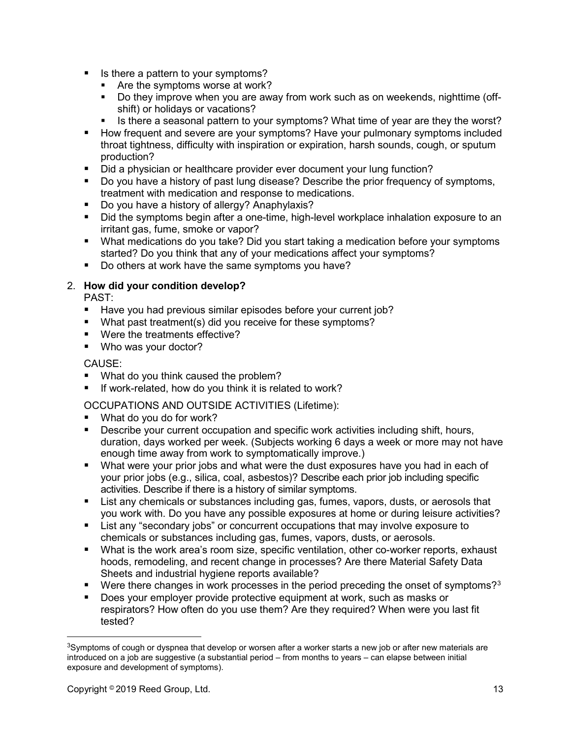- Is there a pattern to your symptoms?
	- **Are the symptoms worse at work?**
	- Do they improve when you are away from work such as on weekends, nighttime (offshift) or holidays or vacations?
	- Is there a seasonal pattern to your symptoms? What time of year are they the worst?
- How frequent and severe are your symptoms? Have your pulmonary symptoms included throat tightness, difficulty with inspiration or expiration, harsh sounds, cough, or sputum production?
- Did a physician or healthcare provider ever document your lung function?
- Do you have a history of past lung disease? Describe the prior frequency of symptoms, treatment with medication and response to medications.
- Do you have a history of allergy? Anaphylaxis?
- Did the symptoms begin after a one-time, high-level workplace inhalation exposure to an irritant gas, fume, smoke or vapor?
- What medications do you take? Did you start taking a medication before your symptoms started? Do you think that any of your medications affect your symptoms?
- Do others at work have the same symptoms you have?

#### 2. **How did your condition develop?**

PAST:

- Have you had previous similar episodes before your current job?
- What past treatment(s) did you receive for these symptoms?
- Were the treatments effective?
- Who was your doctor?

#### CAUSE:

- What do you think caused the problem?
- $\blacksquare$  If work-related, how do you think it is related to work?

OCCUPATIONS AND OUTSIDE ACTIVITIES (Lifetime):

- What do you do for work?
- **Describe your current occupation and specific work activities including shift, hours,** duration, days worked per week. (Subjects working 6 days a week or more may not have enough time away from work to symptomatically improve.)
- What were your prior jobs and what were the dust exposures have you had in each of your prior jobs (e.g., silica, coal, asbestos)? Describe each prior job including specific activities. Describe if there is a history of similar symptoms.
- List any chemicals or substances including gas, fumes, vapors, dusts, or aerosols that you work with. Do you have any possible exposures at home or during leisure activities?
- List any "secondary jobs" or concurrent occupations that may involve exposure to chemicals or substances including gas, fumes, vapors, dusts, or aerosols.
- What is the work area's room size, specific ventilation, other co-worker reports, exhaust hoods, remodeling, and recent change in processes? Are there Material Safety Data Sheets and industrial hygiene reports available?
- Were there changes in work processes in the period preceding the onset of symptoms?<sup>[3](#page-12-0)</sup>
- Does your employer provide protective equipment at work, such as masks or respirators? How often do you use them? Are they required? When were you last fit tested?

<span id="page-12-0"></span><sup>&</sup>lt;sup>3</sup>Symptoms of cough or dyspnea that develop or worsen after a worker starts a new job or after new materials are introduced on a job are suggestive (a substantial period – from months to years – can elapse between initial exposure and development of symptoms).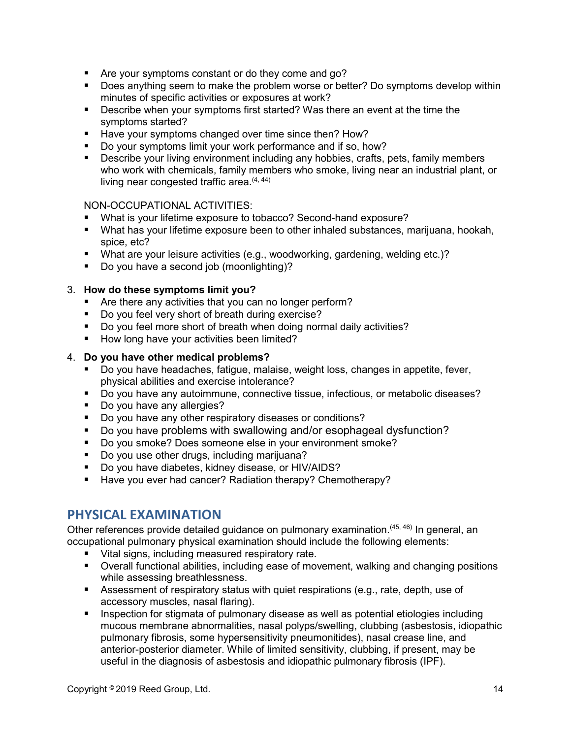- Are your symptoms constant or do they come and go?
- Does anything seem to make the problem worse or better? Do symptoms develop within minutes of specific activities or exposures at work?
- Describe when your symptoms first started? Was there an event at the time the symptoms started?
- Have your symptoms changed over time since then? How?
- Do your symptoms limit your work performance and if so, how?
- **Describe your living environment including any hobbies, crafts, pets, family members** who work with chemicals, family members who smoke, living near an industrial plant, or living near congested traffic area. $(4, 44)$

#### NON-OCCUPATIONAL ACTIVITIES:

- What is your lifetime exposure to tobacco? Second-hand exposure?
- What has your lifetime exposure been to other inhaled substances, marijuana, hookah, spice, etc?
- What are your leisure activities (e.g., woodworking, gardening, welding etc.)?
- Do you have a second job (moonlighting)?

#### 3. **How do these symptoms limit you?**

- Are there any activities that you can no longer perform?
- Do you feel very short of breath during exercise?
- Do you feel more short of breath when doing normal daily activities?
- How long have your activities been limited?

#### 4. **Do you have other medical problems?**

- Do you have headaches, fatigue, malaise, weight loss, changes in appetite, fever, physical abilities and exercise intolerance?
- Do you have any autoimmune, connective tissue, infectious, or metabolic diseases?
- Do you have any allergies?
- Do you have any other respiratory diseases or conditions?
- Do you have problems with swallowing and/or esophageal dysfunction?
- Do you smoke? Does someone else in your environment smoke?
- Do you use other drugs, including marijuana?
- Do you have diabetes, kidney disease, or HIV/AIDS?
- Have you ever had cancer? Radiation therapy? Chemotherapy?

## <span id="page-13-0"></span>**PHYSICAL EXAMINATION**

Other references provide detailed guidance on pulmonary examination.<sup>(45, 46)</sup> In general, an occupational pulmonary physical examination should include the following elements:

- Vital signs, including measured respiratory rate.
- Overall functional abilities, including ease of movement, walking and changing positions while assessing breathlessness.
- Assessment of respiratory status with quiet respirations (e.g., rate, depth, use of accessory muscles, nasal flaring).
- **Inspection for stigmata of pulmonary disease as well as potential etiologies including** mucous membrane abnormalities, nasal polyps/swelling, clubbing (asbestosis, idiopathic pulmonary fibrosis, some hypersensitivity pneumonitides), nasal crease line, and anterior-posterior diameter. While of limited sensitivity, clubbing, if present, may be useful in the diagnosis of asbestosis and idiopathic pulmonary fibrosis (IPF).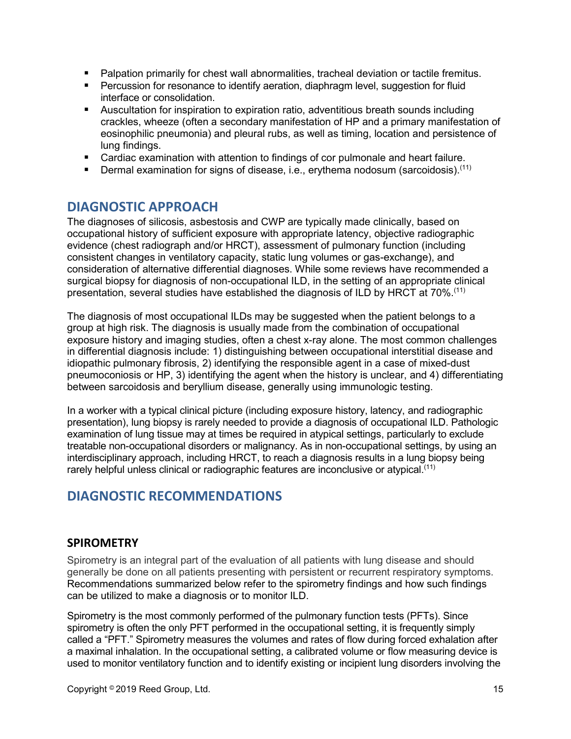- **Palpation primarily for chest wall abnormalities, tracheal deviation or tactile fremitus.**
- **Percussion for resonance to identify aeration, diaphragm level, suggestion for fluid** interface or consolidation.
- Auscultation for inspiration to expiration ratio, adventitious breath sounds including crackles, wheeze (often a secondary manifestation of HP and a primary manifestation of eosinophilic pneumonia) and pleural rubs, as well as timing, location and persistence of lung findings.
- Cardiac examination with attention to findings of cor pulmonale and heart failure.
- **Dermal examination for signs of disease, i.e., erythema nodosum (sarcoidosis).**<sup>(11)</sup>

## <span id="page-14-0"></span>**DIAGNOSTIC APPROACH**

The diagnoses of silicosis, asbestosis and CWP are typically made clinically, based on occupational history of sufficient exposure with appropriate latency, objective radiographic evidence (chest radiograph and/or HRCT), assessment of pulmonary function (including consistent changes in ventilatory capacity, static lung volumes or gas-exchange), and consideration of alternative differential diagnoses. While some reviews have recommended a surgical biopsy for diagnosis of non-occupational ILD, in the setting of an appropriate clinical presentation, several studies have established the diagnosis of ILD by HRCT at 70%.<sup>(11)</sup>

The diagnosis of most occupational ILDs may be suggested when the patient belongs to a group at high risk. The diagnosis is usually made from the combination of occupational exposure history and imaging studies, often a chest x-ray alone. The most common challenges in differential diagnosis include: 1) distinguishing between occupational interstitial disease and idiopathic pulmonary fibrosis, 2) identifying the responsible agent in a case of mixed-dust pneumoconiosis or HP, 3) identifying the agent when the history is unclear, and 4) differentiating between sarcoidosis and beryllium disease, generally using immunologic testing.

In a worker with a typical clinical picture (including exposure history, latency, and radiographic presentation), lung biopsy is rarely needed to provide a diagnosis of occupational ILD. Pathologic examination of lung tissue may at times be required in atypical settings, particularly to exclude treatable non-occupational disorders or malignancy. As in non-occupational settings, by using an interdisciplinary approach, including HRCT, to reach a diagnosis results in a lung biopsy being rarely helpful unless clinical or radiographic features are inconclusive or atypical.(11)

## <span id="page-14-1"></span>**DIAGNOSTIC RECOMMENDATIONS**

### <span id="page-14-2"></span>**SPIROMETRY**

Spirometry is an integral part of the evaluation of all patients with lung disease and should generally be done on all patients presenting with persistent or recurrent respiratory symptoms. Recommendations summarized below refer to the spirometry findings and how such findings can be utilized to make a diagnosis or to monitor ILD.

Spirometry is the most commonly performed of the pulmonary function tests (PFTs). Since spirometry is often the only PFT performed in the occupational setting, it is frequently simply called a "PFT." Spirometry measures the volumes and rates of flow during forced exhalation after a maximal inhalation. In the occupational setting, a calibrated volume or flow measuring device is used to monitor ventilatory function and to identify existing or incipient lung disorders involving the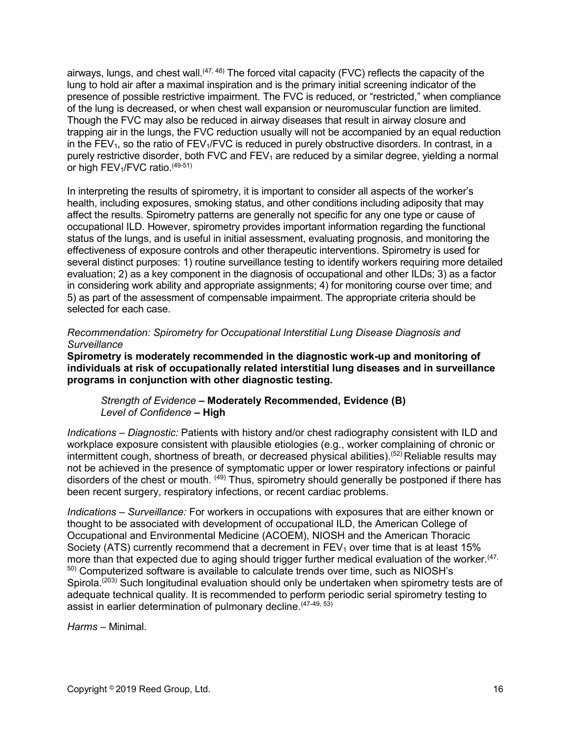airways, lungs, and chest wall.<sup>(47, 48)</sup> The forced vital capacity (FVC) reflects the capacity of the lung to hold air after a maximal inspiration and is the primary initial screening indicator of the presence of possible restrictive impairment. The FVC is reduced, or "restricted," when compliance of the lung is decreased, or when chest wall expansion or neuromuscular function are limited. Though the FVC may also be reduced in airway diseases that result in airway closure and trapping air in the lungs, the FVC reduction usually will not be accompanied by an equal reduction in the FEV<sub>1</sub>, so the ratio of FEV<sub>1</sub>/FVC is reduced in purely obstructive disorders. In contrast, in a purely restrictive disorder, both FVC and  $FEV<sub>1</sub>$  are reduced by a similar degree, yielding a normal or high FEV<sub>1</sub>/FVC ratio.<sup>(49-51)</sup>

In interpreting the results of spirometry, it is important to consider all aspects of the worker's health, including exposures, smoking status, and other conditions including adiposity that may affect the results. Spirometry patterns are generally not specific for any one type or cause of occupational ILD. However, spirometry provides important information regarding the functional status of the lungs, and is useful in initial assessment, evaluating prognosis, and monitoring the effectiveness of exposure controls and other therapeutic interventions. Spirometry is used for several distinct purposes: 1) routine surveillance testing to identify workers requiring more detailed evaluation; 2) as a key component in the diagnosis of occupational and other ILDs; 3) as a factor in considering work ability and appropriate assignments; 4) for monitoring course over time; and 5) as part of the assessment of compensable impairment. The appropriate criteria should be selected for each case.

#### *Recommendation: Spirometry for Occupational Interstitial Lung Disease Diagnosis and Surveillance*

**Spirometry is moderately recommended in the diagnostic work-up and monitoring of individuals at risk of occupationally related interstitial lung diseases and in surveillance programs in conjunction with other diagnostic testing.**

#### *Strength of Evidence –* **Moderately Recommended, Evidence (B)** *Level of Confidence* **– High**

*Indications – Diagnostic:* Patients with history and/or chest radiography consistent with ILD and workplace exposure consistent with plausible etiologies (e.g., worker complaining of chronic or intermittent cough, shortness of breath, or decreased physical abilities).<sup>(52)</sup> Reliable results may not be achieved in the presence of symptomatic upper or lower respiratory infections or painful disorders of the chest or mouth. (49) Thus, spirometry should generally be postponed if there has been recent surgery, respiratory infections, or recent cardiac problems.

*Indications – Surveillance:* For workers in occupations with exposures that are either known or thought to be associated with development of occupational ILD, the American College of Occupational and Environmental Medicine (ACOEM), NIOSH and the American Thoracic Society (ATS) currently recommend that a decrement in  $FEV<sub>1</sub>$  over time that is at least 15% more than that expected due to aging should trigger further medical evaluation of the worker.<sup>(47,</sup> 50) Computerized software is available to calculate trends over time, such as NIOSH's Spirola.<sup>(203)</sup> Such longitudinal evaluation should only be undertaken when spirometry tests are of adequate technical quality. It is recommended to perform periodic serial spirometry testing to assist in earlier determination of pulmonary decline.<sup>(47-49, 53)</sup>

*Harms* – Minimal.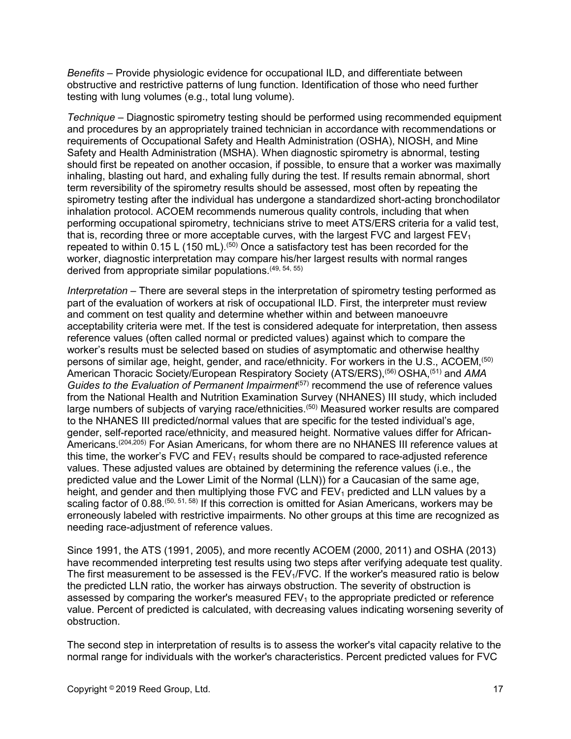*Benefits* – Provide physiologic evidence for occupational ILD, and differentiate between obstructive and restrictive patterns of lung function. Identification of those who need further testing with lung volumes (e.g., total lung volume).

*Technique* – Diagnostic spirometry testing should be performed using recommended equipment and procedures by an appropriately trained technician in accordance with recommendations or requirements of Occupational Safety and Health Administration (OSHA), NIOSH, and Mine Safety and Health Administration (MSHA). When diagnostic spirometry is abnormal, testing should first be repeated on another occasion, if possible, to ensure that a worker was maximally inhaling, blasting out hard, and exhaling fully during the test. If results remain abnormal, short term reversibility of the spirometry results should be assessed, most often by repeating the spirometry testing after the individual has undergone a standardized short-acting bronchodilator inhalation protocol. ACOEM recommends numerous quality controls, including that when performing occupational spirometry, technicians strive to meet ATS/ERS criteria for a valid test, that is, recording three or more acceptable curves, with the largest FVC and largest  $FEV<sub>1</sub>$ repeated to within  $0.15$  L (150 mL).<sup> $(50)$ </sup> Once a satisfactory test has been recorded for the worker, diagnostic interpretation may compare his/her largest results with normal ranges derived from appropriate similar populations. (49, 54, 55)

*Interpretation* – There are several steps in the interpretation of spirometry testing performed as part of the evaluation of workers at risk of occupational ILD. First, the interpreter must review and comment on test quality and determine whether within and between manoeuvre acceptability criteria were met. If the test is considered adequate for interpretation, then assess reference values (often called normal or predicted values) against which to compare the worker's results must be selected based on studies of asymptomatic and otherwise healthy persons of similar age, height, gender, and race/ethnicity. For workers in the U.S., ACOEM, (50) American Thoracic Society/European Respiratory Society (ATS/ERS),<sup>(56)</sup> OSHA,<sup>(51)</sup> and *AMA Guides to the Evaluation of Permanent Impairment*<sup>(57)</sup> recommend the use of reference values from the National Health and Nutrition Examination Survey (NHANES) III study, which included large numbers of subjects of varying race/ethnicities.<sup>(50)</sup> Measured worker results are compared to the NHANES III predicted/normal values that are specific for the tested individual's age, gender, self-reported race/ethnicity, and measured height. Normative values differ for African-Americans.(204,205) For Asian Americans, for whom there are no NHANES III reference values at this time, the worker's FVC and  $FEV<sub>1</sub>$  results should be compared to race-adjusted reference values. These adjusted values are obtained by determining the reference values (i.e., the predicted value and the Lower Limit of the Normal (LLN)) for a Caucasian of the same age, height, and gender and then multiplying those FVC and  $FEV<sub>1</sub>$  predicted and LLN values by a scaling factor of 0.88.<sup>(50, 51, 58)</sup> If this correction is omitted for Asian Americans, workers may be erroneously labeled with restrictive impairments. No other groups at this time are recognized as needing race-adjustment of reference values.

Since 1991, the ATS (1991, 2005), and more recently ACOEM (2000, 2011) and OSHA (2013) have recommended interpreting test results using two steps after verifying adequate test quality. The first measurement to be assessed is the  $FEV<sub>1</sub>/FVC$ . If the worker's measured ratio is below the predicted LLN ratio, the worker has airways obstruction. The severity of obstruction is assessed by comparing the worker's measured  $FEV<sub>1</sub>$  to the appropriate predicted or reference value. Percent of predicted is calculated, with decreasing values indicating worsening severity of obstruction.

The second step in interpretation of results is to assess the worker's vital capacity relative to the normal range for individuals with the worker's characteristics. Percent predicted values for FVC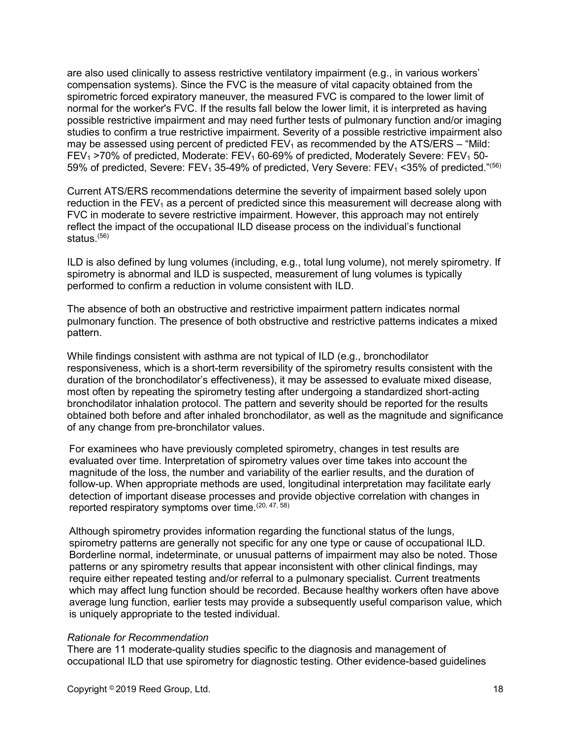are also used clinically to assess restrictive ventilatory impairment (e.g., in various workers' compensation systems). Since the FVC is the measure of vital capacity obtained from the spirometric forced expiratory maneuver, the measured FVC is compared to the lower limit of normal for the worker's FVC. If the results fall below the lower limit, it is interpreted as having possible restrictive impairment and may need further tests of pulmonary function and/or imaging studies to confirm a true restrictive impairment. Severity of a possible restrictive impairment also may be assessed using percent of predicted  $FEV_1$  as recommended by the ATS/ERS – "Mild: FEV<sub>1</sub> >70% of predicted, Moderate: FEV<sub>1</sub> 60-69% of predicted, Moderately Severe: FEV<sub>1</sub> 50-59% of predicted, Severe: FEV<sub>1</sub> 35-49% of predicted, Very Severe: FEV<sub>1</sub> < 35% of predicted."<sup>(56)</sup>

Current ATS/ERS recommendations determine the severity of impairment based solely upon reduction in the  $FEV<sub>1</sub>$  as a percent of predicted since this measurement will decrease along with FVC in moderate to severe restrictive impairment. However, this approach may not entirely reflect the impact of the occupational ILD disease process on the individual's functional status.(56)

ILD is also defined by lung volumes (including, e.g., total lung volume), not merely spirometry. If spirometry is abnormal and ILD is suspected, measurement of lung volumes is typically performed to confirm a reduction in volume consistent with ILD.

The absence of both an obstructive and restrictive impairment pattern indicates normal pulmonary function. The presence of both obstructive and restrictive patterns indicates a mixed pattern.

While findings consistent with asthma are not typical of ILD (e.g., bronchodilator responsiveness, which is a short-term reversibility of the spirometry results consistent with the duration of the bronchodilator's effectiveness), it may be assessed to evaluate mixed disease, most often by repeating the spirometry testing after undergoing a standardized short-acting bronchodilator inhalation protocol. The pattern and severity should be reported for the results obtained both before and after inhaled bronchodilator, as well as the magnitude and significance of any change from pre-bronchilator values.

For examinees who have previously completed spirometry, changes in test results are evaluated over time. Interpretation of spirometry values over time takes into account the magnitude of the loss, the number and variability of the earlier results, and the duration of follow-up. When appropriate methods are used, longitudinal interpretation may facilitate early detection of important disease processes and provide objective correlation with changes in reported respiratory symptoms over time.<sup>(20, 47, 58)</sup>

Although spirometry provides information regarding the functional status of the lungs, spirometry patterns are generally not specific for any one type or cause of occupational ILD. Borderline normal, indeterminate, or unusual patterns of impairment may also be noted. Those patterns or any spirometry results that appear inconsistent with other clinical findings, may require either repeated testing and/or referral to a pulmonary specialist. Current treatments which may affect lung function should be recorded. Because healthy workers often have above average lung function, earlier tests may provide a subsequently useful comparison value, which is uniquely appropriate to the tested individual.

#### *Rationale for Recommendation*

There are 11 moderate-quality studies specific to the diagnosis and management of occupational ILD that use spirometry for diagnostic testing. Other evidence-based guidelines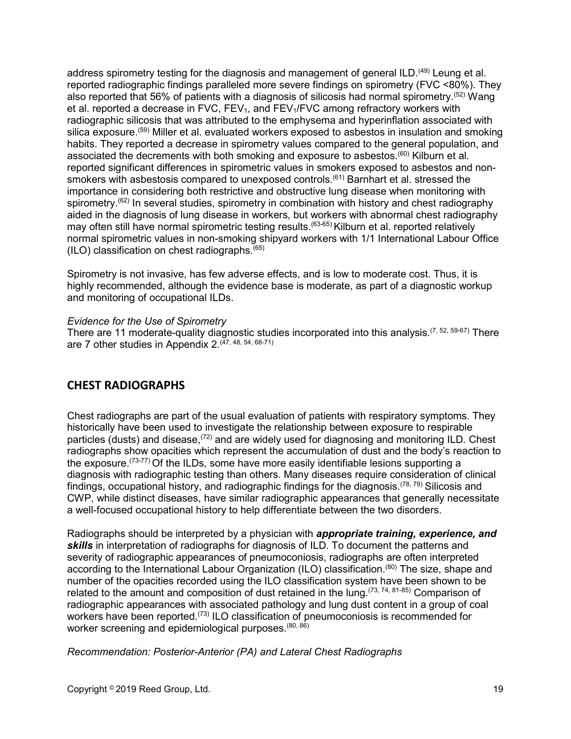address spirometry testing for the diagnosis and management of general ILD.<sup>(49)</sup> Leung et al. reported radiographic findings paralleled more severe findings on spirometry (FVC <80%). They also reported that 56% of patients with a diagnosis of silicosis had normal spirometry.<sup>(52)</sup> Wang et al. reported a decrease in FVC,  $FEV<sub>1</sub>$ , and  $FEV<sub>1</sub>/FVC$  among refractory workers with radiographic silicosis that was attributed to the emphysema and hyperinflation associated with silica exposure.(59) Miller et al. evaluated workers exposed to asbestos in insulation and smoking habits. They reported a decrease in spirometry values compared to the general population, and associated the decrements with both smoking and exposure to asbestos. $(60)$  Kilburn et al. reported significant differences in spirometric values in smokers exposed to asbestos and nonsmokers with asbestosis compared to unexposed controls.<sup>(61)</sup> Barnhart et al. stressed the importance in considering both restrictive and obstructive lung disease when monitoring with spirometry.<sup>(62)</sup> In several studies, spirometry in combination with history and chest radiography aided in the diagnosis of lung disease in workers, but workers with abnormal chest radiography may often still have normal spirometric testing results.<sup>(63-65)</sup> Kilburn et al. reported relatively normal spirometric values in non-smoking shipyard workers with 1/1 International Labour Office (ILO) classification on chest radiographs. $(65)$ 

Spirometry is not invasive, has few adverse effects, and is low to moderate cost. Thus, it is highly recommended, although the evidence base is moderate, as part of a diagnostic workup and monitoring of occupational ILDs.

#### *Evidence for the Use of Spirometry*

There are 11 moderate-quality diagnostic studies incorporated into this analysis.  $(7, 52, 59-67)$  There are 7 other studies in Appendix 2.<sup>(47, 48, 54, 68-71)</sup>

### <span id="page-18-0"></span>**CHEST RADIOGRAPHS**

Chest radiographs are part of the usual evaluation of patients with respiratory symptoms. They historically have been used to investigate the relationship between exposure to respirable particles (dusts) and disease,<sup>(72)</sup> and are widely used for diagnosing and monitoring ILD. Chest radiographs show opacities which represent the accumulation of dust and the body's reaction to the exposure.<sup> $(73-77)$ </sup> Of the ILDs, some have more easily identifiable lesions supporting a diagnosis with radiographic testing than others. Many diseases require consideration of clinical findings, occupational history, and radiographic findings for the diagnosis.<sup> $(78, 79)$ </sup> Silicosis and CWP, while distinct diseases, have similar radiographic appearances that generally necessitate a well-focused occupational history to help differentiate between the two disorders.

Radiographs should be interpreted by a physician with *appropriate training, experience, and skills* in interpretation of radiographs for diagnosis of ILD. To document the patterns and severity of radiographic appearances of pneumoconiosis, radiographs are often interpreted according to the International Labour Organization (ILO) classification.<sup>(80)</sup> The size, shape and number of the opacities recorded using the ILO classification system have been shown to be related to the amount and composition of dust retained in the lung.  $(73, 74, 81-85)$  Comparison of radiographic appearances with associated pathology and lung dust content in a group of coal workers have been reported.<sup>(73)</sup> ILO classification of pneumoconiosis is recommended for worker screening and epidemiological purposes.<sup>(80, 86)</sup>

*Recommendation: Posterior-Anterior (PA) and Lateral Chest Radiographs*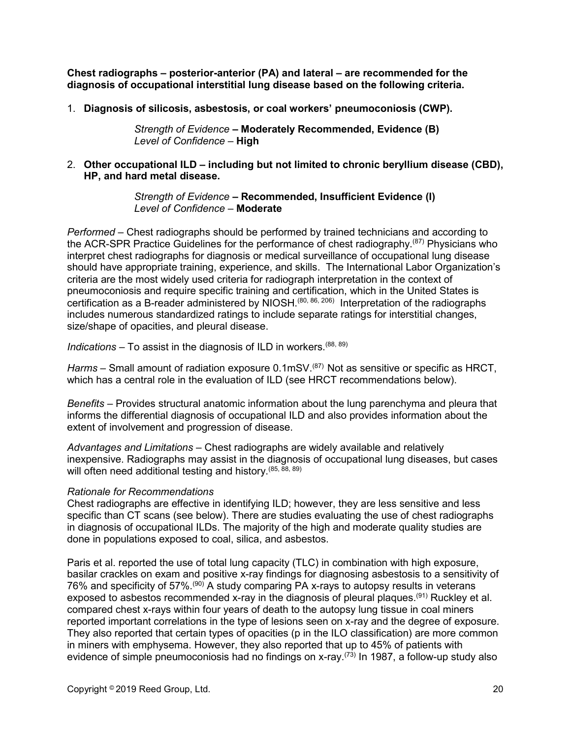**Chest radiographs – posterior-anterior (PA) and lateral – are recommended for the diagnosis of occupational interstitial lung disease based on the following criteria.**

1. **Diagnosis of silicosis, asbestosis, or coal workers' pneumoconiosis (CWP).**

*Strength of Evidence –* **Moderately Recommended, Evidence (B)** *Level of Confidence –* **High**

2. **Other occupational ILD – including but not limited to chronic beryllium disease (CBD), HP, and hard metal disease.**

> *Strength of Evidence –* **Recommended, Insufficient Evidence (I)** *Level of Confidence –* **Moderate**

*Performed* – Chest radiographs should be performed by trained technicians and according to the ACR-SPR Practice Guidelines for the performance of chest radiography.(87) Physicians who interpret chest radiographs for diagnosis or medical surveillance of occupational lung disease should have appropriate training, experience, and skills. The International Labor Organization's criteria are the most widely used criteria for radiograph interpretation in the context of pneumoconiosis and require specific training and certification, which in the United States is certification as a B-reader administered by NIOSH.<sup>(80, 86, 206)</sup> Interpretation of the radiographs includes numerous standardized ratings to include separate ratings for interstitial changes, size/shape of opacities, and pleural disease.

*Indications* – To assist in the diagnosis of ILD in workers.(88, 89)

*Harms* – Small amount of radiation exposure 0.1mSV. (87) Not as sensitive or specific as HRCT, which has a central role in the evaluation of ILD (see HRCT recommendations below).

*Benefits* – Provides structural anatomic information about the lung parenchyma and pleura that informs the differential diagnosis of occupational ILD and also provides information about the extent of involvement and progression of disease.

*Advantages and Limitations* – Chest radiographs are widely available and relatively inexpensive. Radiographs may assist in the diagnosis of occupational lung diseases, but cases will often need additional testing and history.<sup>(85, 88, 89)</sup>

#### *Rationale for Recommendations*

Chest radiographs are effective in identifying ILD; however, they are less sensitive and less specific than CT scans (see below). There are studies evaluating the use of chest radiographs in diagnosis of occupational ILDs. The majority of the high and moderate quality studies are done in populations exposed to coal, silica, and asbestos.

Paris et al. reported the use of total lung capacity (TLC) in combination with high exposure, basilar crackles on exam and positive x-ray findings for diagnosing asbestosis to a sensitivity of 76% and specificity of 57%.(90) A study comparing PA x-rays to autopsy results in veterans exposed to asbestos recommended x-ray in the diagnosis of pleural plaques.<sup>(91)</sup> Ruckley et al. compared chest x-rays within four years of death to the autopsy lung tissue in coal miners reported important correlations in the type of lesions seen on x-ray and the degree of exposure. They also reported that certain types of opacities (p in the ILO classification) are more common in miners with emphysema. However, they also reported that up to 45% of patients with evidence of simple pneumoconiosis had no findings on x-ray.<sup>(73)</sup> In 1987, a follow-up study also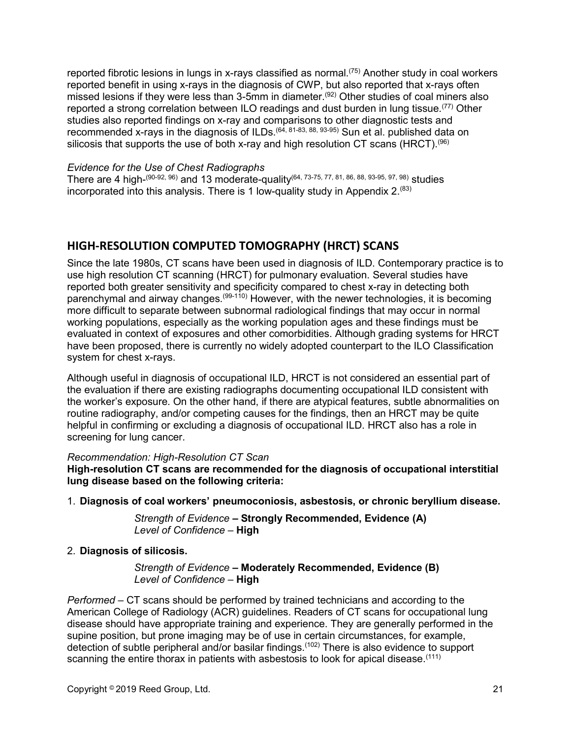reported fibrotic lesions in lungs in x-rays classified as normal.(75) Another study in coal workers reported benefit in using x-rays in the diagnosis of CWP, but also reported that x-rays often missed lesions if they were less than 3-5mm in diameter.<sup>(92)</sup> Other studies of coal miners also reported a strong correlation between ILO readings and dust burden in lung tissue.<sup>(77)</sup> Other studies also reported findings on x-ray and comparisons to other diagnostic tests and recommended x-rays in the diagnosis of ILDs.<sup>(64, 81-83, 88, 93-95)</sup> Sun et al. published data on silicosis that supports the use of both x-ray and high resolution CT scans (HRCT). $^{\left( 96\right) }$ 

#### *Evidence for the Use of Chest Radiographs*

There are 4 high-<sup>(90-92, 96)</sup> and 13 moderate-quality<sup>(64, 73-75, 77, 81, 86, 88, 93-95, 97, 98) studies</sup> incorporated into this analysis. There is 1 low-quality study in Appendix  $2^{(83)}$ 

## <span id="page-20-0"></span>**HIGH-RESOLUTION COMPUTED TOMOGRAPHY (HRCT) SCANS**

Since the late 1980s, CT scans have been used in diagnosis of ILD. Contemporary practice is to use high resolution CT scanning (HRCT) for pulmonary evaluation. Several studies have reported both greater sensitivity and specificity compared to chest x-ray in detecting both parenchymal and airway changes.(99-110) However, with the newer technologies, it is becoming more difficult to separate between subnormal radiological findings that may occur in normal working populations, especially as the working population ages and these findings must be evaluated in context of exposures and other comorbidities. Although grading systems for HRCT have been proposed, there is currently no widely adopted counterpart to the ILO Classification system for chest x-rays.

Although useful in diagnosis of occupational ILD, HRCT is not considered an essential part of the evaluation if there are existing radiographs documenting occupational ILD consistent with the worker's exposure. On the other hand, if there are atypical features, subtle abnormalities on routine radiography, and/or competing causes for the findings, then an HRCT may be quite helpful in confirming or excluding a diagnosis of occupational ILD. HRCT also has a role in screening for lung cancer.

#### *Recommendation: High-Resolution CT Scan*

**High-resolution CT scans are recommended for the diagnosis of occupational interstitial lung disease based on the following criteria:**

1. **Diagnosis of coal workers' pneumoconiosis, asbestosis, or chronic beryllium disease.**

*Strength of Evidence –* **Strongly Recommended, Evidence (A)** *Level of Confidence –* **High**

#### 2. **Diagnosis of silicosis.**

*Strength of Evidence –* **Moderately Recommended, Evidence (B)** *Level of Confidence –* **High**

*Performed* – CT scans should be performed by trained technicians and according to the American College of Radiology (ACR) guidelines. Readers of CT scans for occupational lung disease should have appropriate training and experience. They are generally performed in the supine position, but prone imaging may be of use in certain circumstances, for example, detection of subtle peripheral and/or basilar findings.<sup>(102)</sup> There is also evidence to support scanning the entire thorax in patients with asbestosis to look for apical disease.<sup>(111)</sup>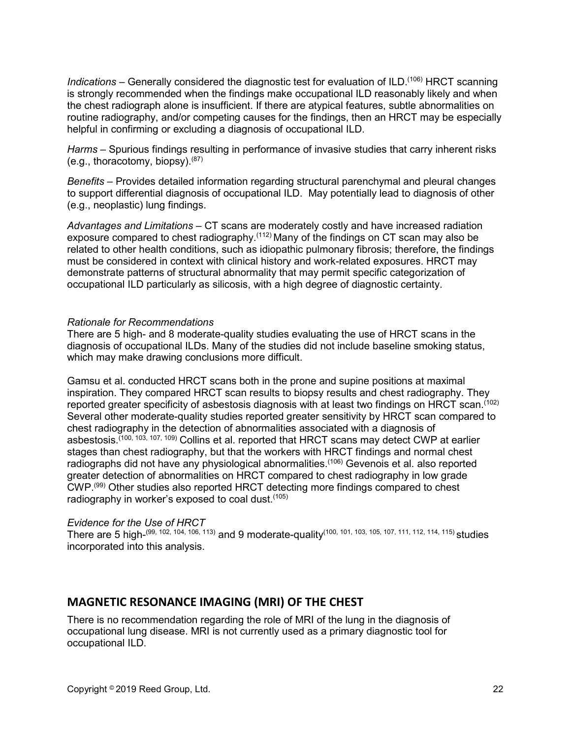Indications – Generally considered the diagnostic test for evaluation of ILD.<sup>(106)</sup> HRCT scanning is strongly recommended when the findings make occupational ILD reasonably likely and when the chest radiograph alone is insufficient. If there are atypical features, subtle abnormalities on routine radiography, and/or competing causes for the findings, then an HRCT may be especially helpful in confirming or excluding a diagnosis of occupational ILD.

*Harms* – Spurious findings resulting in performance of invasive studies that carry inherent risks (e.g., thoracotomy, biopsy).<sup>(87)</sup>

*Benefits* – Provides detailed information regarding structural parenchymal and pleural changes to support differential diagnosis of occupational ILD. May potentially lead to diagnosis of other (e.g., neoplastic) lung findings.

*Advantages and Limitations* – CT scans are moderately costly and have increased radiation exposure compared to chest radiography.<sup> $(112)$ </sup> Many of the findings on CT scan may also be related to other health conditions, such as idiopathic pulmonary fibrosis; therefore, the findings must be considered in context with clinical history and work-related exposures. HRCT may demonstrate patterns of structural abnormality that may permit specific categorization of occupational ILD particularly as silicosis, with a high degree of diagnostic certainty.

#### *Rationale for Recommendations*

There are 5 high- and 8 moderate-quality studies evaluating the use of HRCT scans in the diagnosis of occupational ILDs. Many of the studies did not include baseline smoking status, which may make drawing conclusions more difficult.

Gamsu et al. conducted HRCT scans both in the prone and supine positions at maximal inspiration. They compared HRCT scan results to biopsy results and chest radiography. They reported greater specificity of asbestosis diagnosis with at least two findings on HRCT scan.<sup>(102)</sup> Several other moderate-quality studies reported greater sensitivity by HRCT scan compared to chest radiography in the detection of abnormalities associated with a diagnosis of asbestosis.<sup>(100, 103, 107, 109)</sup> Collins et al. reported that HRCT scans may detect CWP at earlier stages than chest radiography, but that the workers with HRCT findings and normal chest radiographs did not have any physiological abnormalities.<sup>(106)</sup> Gevenois et al. also reported greater detection of abnormalities on HRCT compared to chest radiography in low grade CWP.(99) Other studies also reported HRCT detecting more findings compared to chest radiography in worker's exposed to coal dust.<sup>(105)</sup>

#### *Evidence for the Use of HRCT*

There are 5 high-<sup>(99, 102, 104, 106, 113)</sup> and 9 moderate-quality<sup>(100, 101, 103, 105, 107, 111, 112, 114, 115) studies</sup> incorporated into this analysis.

### <span id="page-21-0"></span>**MAGNETIC RESONANCE IMAGING (MRI) OF THE CHEST**

There is no recommendation regarding the role of MRI of the lung in the diagnosis of occupational lung disease. MRI is not currently used as a primary diagnostic tool for occupational ILD.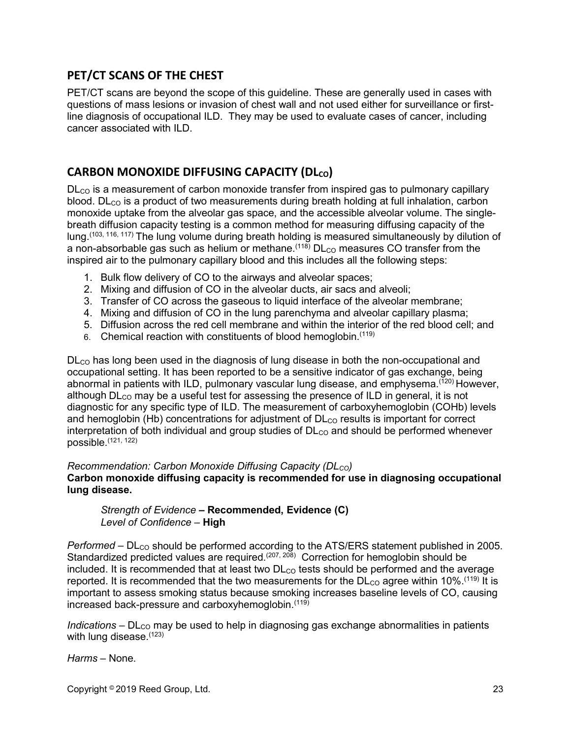## <span id="page-22-0"></span>**PET/CT SCANS OF THE CHEST**

PET/CT scans are beyond the scope of this guideline. These are generally used in cases with questions of mass lesions or invasion of chest wall and not used either for surveillance or firstline diagnosis of occupational ILD. They may be used to evaluate cases of cancer, including cancer associated with ILD.

## <span id="page-22-1"></span>**CARBON MONOXIDE DIFFUSING CAPACITY (DLco)**

 $D<sub>CO</sub>$  is a measurement of carbon monoxide transfer from inspired gas to pulmonary capillary blood.  $D<sub>CO</sub>$  is a product of two measurements during breath holding at full inhalation, carbon monoxide uptake from the alveolar gas space, and the accessible alveolar volume. The singlebreath diffusion capacity testing is a common method for measuring diffusing capacity of the lung.(103, 116, 117) The lung volume during breath holding is measured simultaneously by dilution of a non-absorbable gas such as helium or methane.<sup> $(118)$ </sup> DL<sub>co</sub> measures CO transfer from the inspired air to the pulmonary capillary blood and this includes all the following steps:

- 1. Bulk flow delivery of CO to the airways and alveolar spaces;
- 2. Mixing and diffusion of CO in the alveolar ducts, air sacs and alveoli;
- 3. Transfer of CO across the gaseous to liquid interface of the alveolar membrane;
- 4. Mixing and diffusion of CO in the lung parenchyma and alveolar capillary plasma;
- 5. Diffusion across the red cell membrane and within the interior of the red blood cell; and
- 6. Chemical reaction with constituents of blood hemoglobin.(119)

 $D<sub>Co</sub>$  has long been used in the diagnosis of lung disease in both the non-occupational and occupational setting. It has been reported to be a sensitive indicator of gas exchange, being abnormal in patients with ILD, pulmonary vascular lung disease, and emphysema.<sup>(120)</sup> However, although  $DL_{CO}$  may be a useful test for assessing the presence of ILD in general, it is not diagnostic for any specific type of ILD. The measurement of carboxyhemoglobin (COHb) levels and hemoglobin (Hb) concentrations for adjustment of  $DL_{CO}$  results is important for correct interpretation of both individual and group studies of  $D<sub>CO</sub>$  and should be performed whenever possible. $(121, 122)$ 

#### *Recommendation: Carbon Monoxide Diffusing Capacity (DLco)*

**Carbon monoxide diffusing capacity is recommended for use in diagnosing occupational lung disease.**

#### *Strength of Evidence –* **Recommended, Evidence (C)** *Level of Confidence –* **High**

*Performed* – DL<sub>co</sub> should be performed according to the ATS/ERS statement published in 2005. Standardized predicted values are required.(207, 208) Correction for hemoglobin should be included. It is recommended that at least two  $DL_{CO}$  tests should be performed and the average reported. It is recommended that the two measurements for the  $D<sub>CO</sub>$  agree within 10%.<sup>(119)</sup> It is important to assess smoking status because smoking increases baseline levels of CO, causing increased back-pressure and carboxyhemoglobin.(119)

*Indications* – DL<sub>co</sub> may be used to help in diagnosing gas exchange abnormalities in patients with lung disease. (123)

*Harms* – None.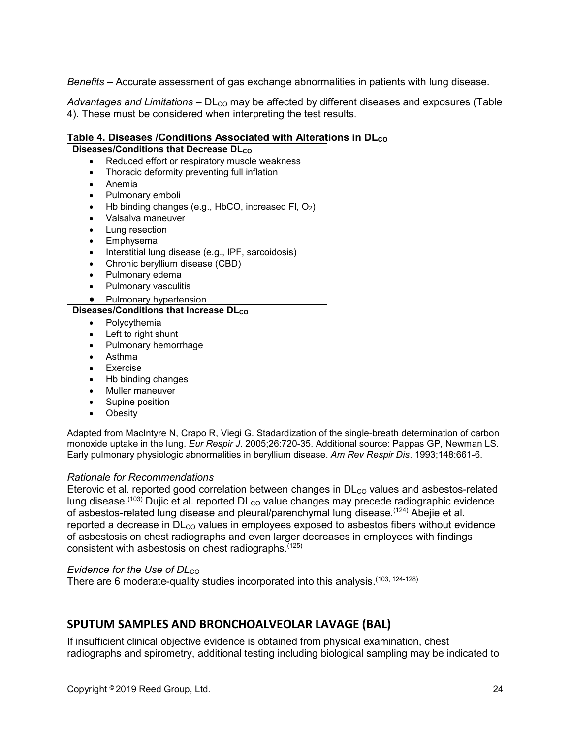*Benefits* – Accurate assessment of gas exchange abnormalities in patients with lung disease.

Advantages and Limitations – DL<sub>co</sub> may be affected by different diseases and exposures (Table 4). These must be considered when interpreting the test results.

### **Table 4. Diseases /Conditions Associated with Alterations in DLco**

| Diseases/Conditions that Decrease DLco |                                                       |  |
|----------------------------------------|-------------------------------------------------------|--|
|                                        | Reduced effort or respiratory muscle weakness         |  |
|                                        | Thoracic deformity preventing full inflation          |  |
|                                        | Anemia                                                |  |
| $\bullet$                              | Pulmonary emboli                                      |  |
| $\bullet$                              | Hb binding changes (e.g., HbCO, increased FI, $O_2$ ) |  |
|                                        | Valsalva maneuver                                     |  |
|                                        | Lung resection                                        |  |
|                                        | Emphysema                                             |  |
| $\bullet$                              | Interstitial lung disease (e.g., IPF, sarcoidosis)    |  |
| $\bullet$                              | Chronic beryllium disease (CBD)                       |  |
| $\bullet$                              | Pulmonary edema                                       |  |
|                                        | Pulmonary vasculitis                                  |  |
|                                        | Pulmonary hypertension                                |  |
|                                        | Diseases/Conditions that Increase DLco                |  |
|                                        | Polycythemia                                          |  |
|                                        | Left to right shunt                                   |  |
|                                        | Pulmonary hemorrhage                                  |  |
|                                        | Asthma                                                |  |
| $\bullet$                              | Exercise                                              |  |
|                                        | Hb binding changes                                    |  |
|                                        | Muller maneuver                                       |  |
|                                        | Supine position                                       |  |
|                                        | Obesity                                               |  |

Adapted from MacIntyre N, Crapo R, Viegi G. Stadardization of the single-breath determination of carbon monoxide uptake in the lung. *Eur Respir J*. 2005;26:720-35. Additional source: Pappas GP, Newman LS. Early pulmonary physiologic abnormalities in beryllium disease. *Am Rev Respir Dis*. 1993;148:661-6.

#### *Rationale for Recommendations*

Eterovic et al. reported good correlation between changes in  $DL_{CO}$  values and asbestos-related lung disease.<sup>(103)</sup> Dujic et al. reported  $\mathsf{DL}_{\mathsf{CO}}$  value changes may precede radiographic evidence of asbestos-related lung disease and pleural/parenchymal lung disease.<sup>(124)</sup> Abejie et al. reported a decrease in  $D<sub>CO</sub>$  values in employees exposed to asbestos fibers without evidence of asbestosis on chest radiographs and even larger decreases in employees with findings consistent with asbestosis on chest radiographs.(125)

#### *Evidence for the Use of DLco*

There are 6 moderate-quality studies incorporated into this analysis.<sup>(103, 124-128)</sup>

## <span id="page-23-0"></span>**SPUTUM SAMPLES AND BRONCHOALVEOLAR LAVAGE (BAL)**

If insufficient clinical objective evidence is obtained from physical examination, chest radiographs and spirometry, additional testing including biological sampling may be indicated to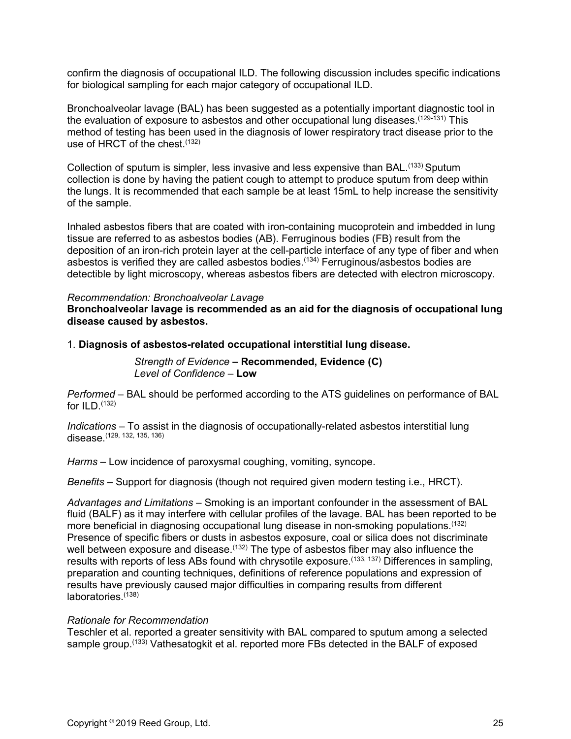confirm the diagnosis of occupational ILD. The following discussion includes specific indications for biological sampling for each major category of occupational ILD.

Bronchoalveolar lavage (BAL) has been suggested as a potentially important diagnostic tool in the evaluation of exposure to asbestos and other occupational lung diseases.<sup>(129-131)</sup> This method of testing has been used in the diagnosis of lower respiratory tract disease prior to the use of HRCT of the chest.<sup>(132)</sup>

Collection of sputum is simpler, less invasive and less expensive than BAL.<sup>(133)</sup> Sputum collection is done by having the patient cough to attempt to produce sputum from deep within the lungs. It is recommended that each sample be at least 15mL to help increase the sensitivity of the sample.

Inhaled asbestos fibers that are coated with iron-containing mucoprotein and imbedded in lung tissue are referred to as asbestos bodies (AB). Ferruginous bodies (FB) result from the deposition of an iron-rich protein layer at the cell-particle interface of any type of fiber and when asbestos is verified they are called asbestos bodies.<sup>(134)</sup> Ferruginous/asbestos bodies are detectible by light microscopy, whereas asbestos fibers are detected with electron microscopy.

#### *Recommendation: Bronchoalveolar Lavage*

**Bronchoalveolar lavage is recommended as an aid for the diagnosis of occupational lung disease caused by asbestos.**

1. **Diagnosis of asbestos-related occupational interstitial lung disease.**

*Strength of Evidence –* **Recommended, Evidence (C)** *Level of Confidence –* **Low**

*Performed* – BAL should be performed according to the ATS guidelines on performance of BAL for  $ILD.$   $(132)$ 

*Indications* – To assist in the diagnosis of occupationally-related asbestos interstitial lung disease.(129, 132, 135, 136)

*Harms* – Low incidence of paroxysmal coughing, vomiting, syncope.

*Benefits* – Support for diagnosis (though not required given modern testing i.e., HRCT).

*Advantages and Limitations –* Smoking is an important confounder in the assessment of BAL fluid (BALF) as it may interfere with cellular profiles of the lavage. BAL has been reported to be more beneficial in diagnosing occupational lung disease in non-smoking populations.<sup>(132)</sup> Presence of specific fibers or dusts in asbestos exposure, coal or silica does not discriminate well between exposure and disease.<sup>(132)</sup> The type of asbestos fiber may also influence the results with reports of less ABs found with chrysotile exposure.<sup>(133, 137)</sup> Differences in sampling, preparation and counting techniques, definitions of reference populations and expression of results have previously caused major difficulties in comparing results from different laboratories.(138)

#### *Rationale for Recommendation*

Teschler et al. reported a greater sensitivity with BAL compared to sputum among a selected sample group.<sup>(133)</sup> Vathesatogkit et al. reported more FBs detected in the BALF of exposed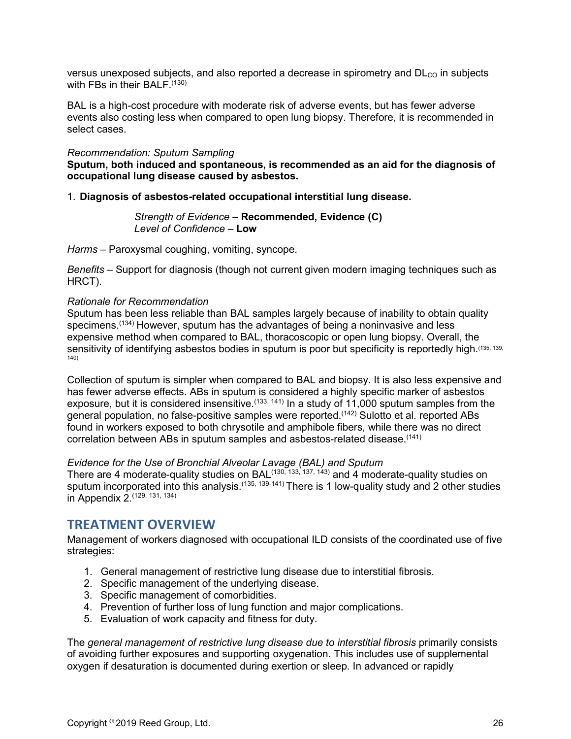versus unexposed subjects, and also reported a decrease in spirometry and  $D<sub>CO</sub>$  in subjects with FBs in their BALF. $(130)$ 

BAL is a high-cost procedure with moderate risk of adverse events, but has fewer adverse events also costing less when compared to open lung biopsy. Therefore, it is recommended in select cases.

#### *Recommendation: Sputum Sampling*

**Sputum, both induced and spontaneous, is recommended as an aid for the diagnosis of occupational lung disease caused by asbestos.**

#### 1. **Diagnosis of asbestos-related occupational interstitial lung disease.**

*Strength of Evidence –* **Recommended, Evidence (C)** *Level of Confidence –* **Low**

*Harms* – Paroxysmal coughing, vomiting, syncope.

*Benefits* – Support for diagnosis (though not current given modern imaging techniques such as HRCT).

#### *Rationale for Recommendation*

Sputum has been less reliable than BAL samples largely because of inability to obtain quality specimens.<sup>(134)</sup> However, sputum has the advantages of being a noninvasive and less expensive method when compared to BAL, thoracoscopic or open lung biopsy. Overall, the sensitivity of identifying asbestos bodies in sputum is poor but specificity is reportedly high.<sup>(135, 139,</sup> 140)

Collection of sputum is simpler when compared to BAL and biopsy. It is also less expensive and has fewer adverse effects. ABs in sputum is considered a highly specific marker of asbestos exposure, but it is considered insensitive.<sup> $(133, 141)$ </sup> In a study of 11,000 sputum samples from the general population, no false-positive samples were reported.(142) Sulotto et al. reported ABs found in workers exposed to both chrysotile and amphibole fibers, while there was no direct correlation between ABs in sputum samples and asbestos-related disease.(141)

#### *Evidence for the Use of Bronchial Alveolar Lavage (BAL) and Sputum*

There are 4 moderate-quality studies on BAL $^{(130, 133, 137, 143)}$  and 4 moderate-quality studies on sputum incorporated into this analysis.<sup>(135, 139-141)</sup> There is 1 low-quality study and 2 other studies in Appendix 2.(129, 131, 134)

## <span id="page-25-0"></span>**TREATMENT OVERVIEW**

Management of workers diagnosed with occupational ILD consists of the coordinated use of five strategies:

- 1. General management of restrictive lung disease due to interstitial fibrosis.
- 2. Specific management of the underlying disease.
- 3. Specific management of comorbidities.
- 4. Prevention of further loss of lung function and major complications.
- 5. Evaluation of work capacity and fitness for duty.

The *general management of restrictive lung disease due to interstitial fibrosis* primarily consists of avoiding further exposures and supporting oxygenation. This includes use of supplemental oxygen if desaturation is documented during exertion or sleep. In advanced or rapidly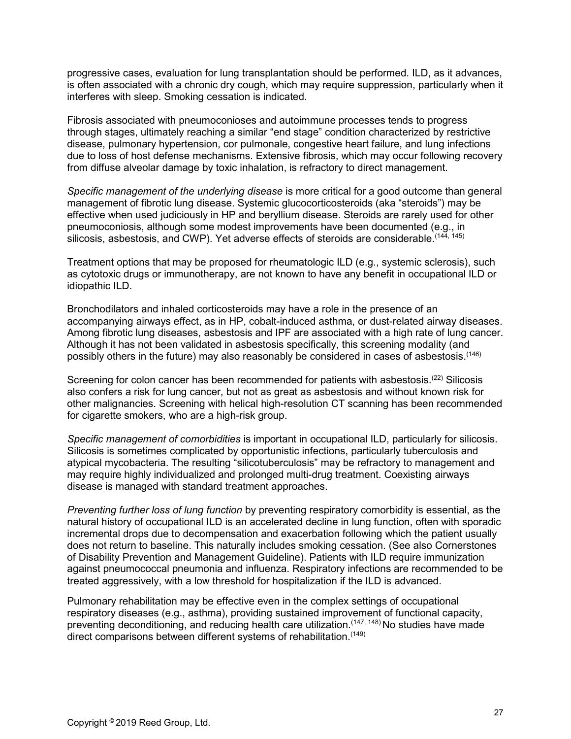progressive cases, evaluation for lung transplantation should be performed. ILD, as it advances, is often associated with a chronic dry cough, which may require suppression, particularly when it interferes with sleep. Smoking cessation is indicated.

Fibrosis associated with pneumoconioses and autoimmune processes tends to progress through stages, ultimately reaching a similar "end stage" condition characterized by restrictive disease, pulmonary hypertension, cor pulmonale, congestive heart failure, and lung infections due to loss of host defense mechanisms. Extensive fibrosis, which may occur following recovery from diffuse alveolar damage by toxic inhalation, is refractory to direct management.

*Specific management of the underlying disease* is more critical for a good outcome than general management of fibrotic lung disease. Systemic glucocorticosteroids (aka "steroids") may be effective when used judiciously in HP and beryllium disease. Steroids are rarely used for other pneumoconiosis, although some modest improvements have been documented (e.g., in silicosis, asbestosis, and CWP). Yet adverse effects of steroids are considerable.<sup>(144, 145)</sup>

Treatment options that may be proposed for rheumatologic ILD (e.g., systemic sclerosis), such as cytotoxic drugs or immunotherapy, are not known to have any benefit in occupational ILD or idiopathic ILD.

Bronchodilators and inhaled corticosteroids may have a role in the presence of an accompanying airways effect, as in HP, cobalt-induced asthma, or dust-related airway diseases. Among fibrotic lung diseases, asbestosis and IPF are associated with a high rate of lung cancer. Although it has not been validated in asbestosis specifically, this screening modality (and possibly others in the future) may also reasonably be considered in cases of asbestosis.<sup>(146)</sup>

Screening for colon cancer has been recommended for patients with asbestosis.<sup>(22)</sup> Silicosis also confers a risk for lung cancer, but not as great as asbestosis and without known risk for other malignancies. Screening with helical high-resolution CT scanning has been recommended for cigarette smokers, who are a high-risk group.

*Specific management of comorbidities* is important in occupational ILD, particularly for silicosis. Silicosis is sometimes complicated by opportunistic infections, particularly tuberculosis and atypical mycobacteria. The resulting "silicotuberculosis" may be refractory to management and may require highly individualized and prolonged multi-drug treatment. Coexisting airways disease is managed with standard treatment approaches.

*Preventing further loss of lung function* by preventing respiratory comorbidity is essential, as the natural history of occupational ILD is an accelerated decline in lung function, often with sporadic incremental drops due to decompensation and exacerbation following which the patient usually does not return to baseline. This naturally includes smoking cessation. (See also Cornerstones of Disability Prevention and Management Guideline). Patients with ILD require immunization against pneumococcal pneumonia and influenza. Respiratory infections are recommended to be treated aggressively, with a low threshold for hospitalization if the ILD is advanced.

Pulmonary rehabilitation may be effective even in the complex settings of occupational respiratory diseases (e.g., asthma), providing sustained improvement of functional capacity, preventing deconditioning, and reducing health care utilization.  $(147, 148)$  No studies have made direct comparisons between different systems of rehabilitation.<sup>(149)</sup>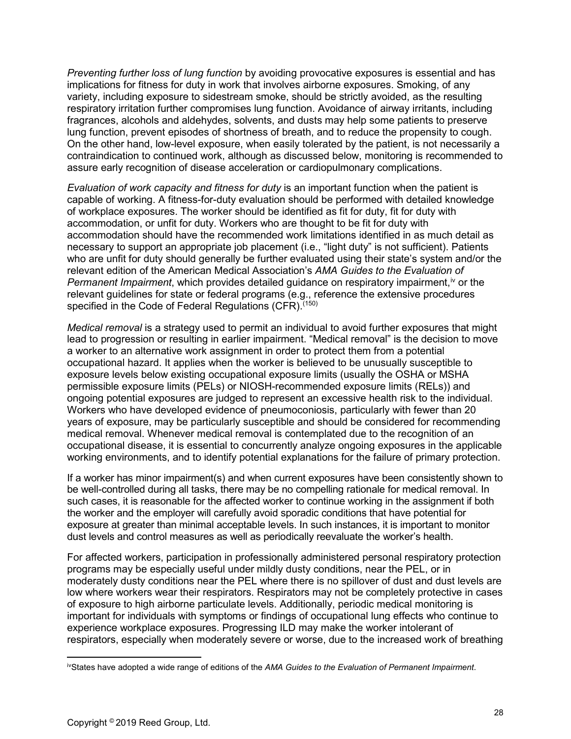*Preventing further loss of lung function* by avoiding provocative exposures is essential and has implications for fitness for duty in work that involves airborne exposures. Smoking, of any variety, including exposure to sidestream smoke, should be strictly avoided, as the resulting respiratory irritation further compromises lung function. Avoidance of airway irritants, including fragrances, alcohols and aldehydes, solvents, and dusts may help some patients to preserve lung function, prevent episodes of shortness of breath, and to reduce the propensity to cough. On the other hand, low-level exposure, when easily tolerated by the patient, is not necessarily a contraindication to continued work, although as discussed below, monitoring is recommended to assure early recognition of disease acceleration or cardiopulmonary complications.

*Evaluation of work capacity and fitness for duty* is an important function when the patient is capable of working. A fitness-for-duty evaluation should be performed with detailed knowledge of workplace exposures. The worker should be identified as fit for duty, fit for duty with accommodation, or unfit for duty. Workers who are thought to be fit for duty with accommodation should have the recommended work limitations identified in as much detail as necessary to support an appropriate job placement (i.e., "light duty" is not sufficient). Patients who are unfit for duty should generally be further evaluated using their state's system and/or the relevant edition of the American Medical Association's *AMA Guides to the Evaluation of Permanent Impairment*, which provides detailed guidance on respiratory impairment,<sup>[iv](#page-27-0)</sup> or the relevant guidelines for state or federal programs (e.g., reference the extensive procedures specified in the Code of Federal Regulations (CFR).<sup>(150)</sup>

*Medical removal* is a strategy used to permit an individual to avoid further exposures that might lead to progression or resulting in earlier impairment. "Medical removal" is the decision to move a worker to an alternative work assignment in order to protect them from a potential occupational hazard. It applies when the worker is believed to be unusually susceptible to exposure levels below existing occupational exposure limits (usually the OSHA or MSHA permissible exposure limits (PELs) or NIOSH-recommended exposure limits (RELs)) and ongoing potential exposures are judged to represent an excessive health risk to the individual. Workers who have developed evidence of pneumoconiosis, particularly with fewer than 20 years of exposure, may be particularly susceptible and should be considered for recommending medical removal. Whenever medical removal is contemplated due to the recognition of an occupational disease, it is essential to concurrently analyze ongoing exposures in the applicable working environments, and to identify potential explanations for the failure of primary protection.

If a worker has minor impairment(s) and when current exposures have been consistently shown to be well-controlled during all tasks, there may be no compelling rationale for medical removal. In such cases, it is reasonable for the affected worker to continue working in the assignment if both the worker and the employer will carefully avoid sporadic conditions that have potential for exposure at greater than minimal acceptable levels. In such instances, it is important to monitor dust levels and control measures as well as periodically reevaluate the worker's health.

For affected workers, participation in professionally administered personal respiratory protection programs may be especially useful under mildly dusty conditions, near the PEL, or in moderately dusty conditions near the PEL where there is no spillover of dust and dust levels are low where workers wear their respirators. Respirators may not be completely protective in cases of exposure to high airborne particulate levels. Additionally, periodic medical monitoring is important for individuals with symptoms or findings of occupational lung effects who continue to experience workplace exposures. Progressing ILD may make the worker intolerant of respirators, especially when moderately severe or worse, due to the increased work of breathing

<span id="page-27-0"></span>ivStates have adopted a wide range of editions of the *AMA Guides to the Evaluation of Permanent Impairment*.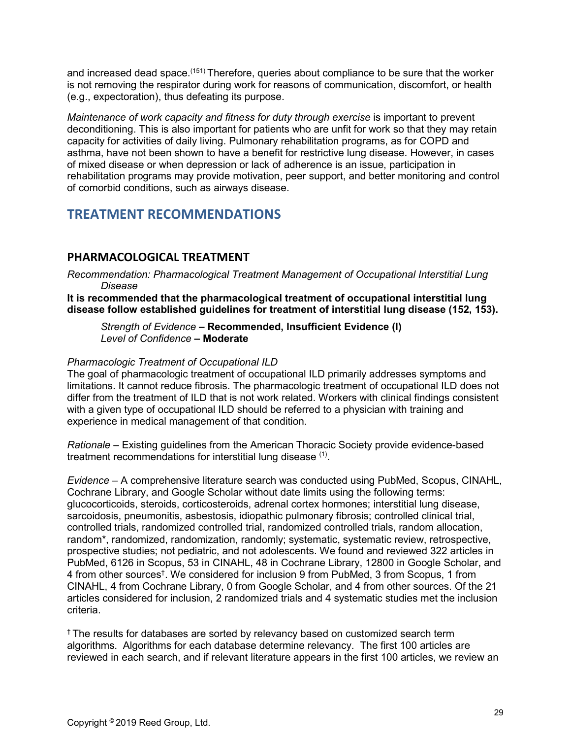and increased dead space.<sup>(151)</sup> Therefore, queries about compliance to be sure that the worker is not removing the respirator during work for reasons of communication, discomfort, or health (e.g., expectoration), thus defeating its purpose.

*Maintenance of work capacity and fitness for duty through exercise* is important to prevent deconditioning. This is also important for patients who are unfit for work so that they may retain capacity for activities of daily living. Pulmonary rehabilitation programs, as for COPD and asthma, have not been shown to have a benefit for restrictive lung disease. However, in cases of mixed disease or when depression or lack of adherence is an issue, participation in rehabilitation programs may provide motivation, peer support, and better monitoring and control of comorbid conditions, such as airways disease.

## <span id="page-28-0"></span>**TREATMENT RECOMMENDATIONS**

## <span id="page-28-1"></span>**PHARMACOLOGICAL TREATMENT**

*Recommendation: Pharmacological Treatment Management of Occupational Interstitial Lung Disease*

**It is recommended that the pharmacological treatment of occupational interstitial lung disease follow established guidelines for treatment of interstitial lung disease (152, 153).**

*Strength of Evidence –* **Recommended, Insufficient Evidence (I)** *Level of Confidence* **– Moderate**

#### *Pharmacologic Treatment of Occupational ILD*

The goal of pharmacologic treatment of occupational ILD primarily addresses symptoms and limitations. It cannot reduce fibrosis. The pharmacologic treatment of occupational ILD does not differ from the treatment of ILD that is not work related. Workers with clinical findings consistent with a given type of occupational ILD should be referred to a physician with training and experience in medical management of that condition.

*Rationale –* Existing guidelines from the American Thoracic Society provide evidence-based treatment recommendations for interstitial lung disease (1).

*Evidence –* A comprehensive literature search was conducted using PubMed, Scopus, CINAHL, Cochrane Library, and Google Scholar without date limits using the following terms: glucocorticoids, steroids, corticosteroids, adrenal cortex hormones; interstitial lung disease, sarcoidosis, pneumonitis, asbestosis, idiopathic pulmonary fibrosis; controlled clinical trial, controlled trials, randomized controlled trial, randomized controlled trials, random allocation, random\*, randomized, randomization, randomly; systematic, systematic review, retrospective, prospective studies; not pediatric, and not adolescents. We found and reviewed 322 articles in PubMed, 6126 in Scopus, 53 in CINAHL, 48 in Cochrane Library, 12800 in Google Scholar, and 4 from other sources† . We considered for inclusion 9 from PubMed, 3 from Scopus, 1 from CINAHL, 4 from Cochrane Library, 0 from Google Scholar, and 4 from other sources. Of the 21 articles considered for inclusion, 2 randomized trials and 4 systematic studies met the inclusion criteria.

† The results for databases are sorted by relevancy based on customized search term algorithms. Algorithms for each database determine relevancy. The first 100 articles are reviewed in each search, and if relevant literature appears in the first 100 articles, we review an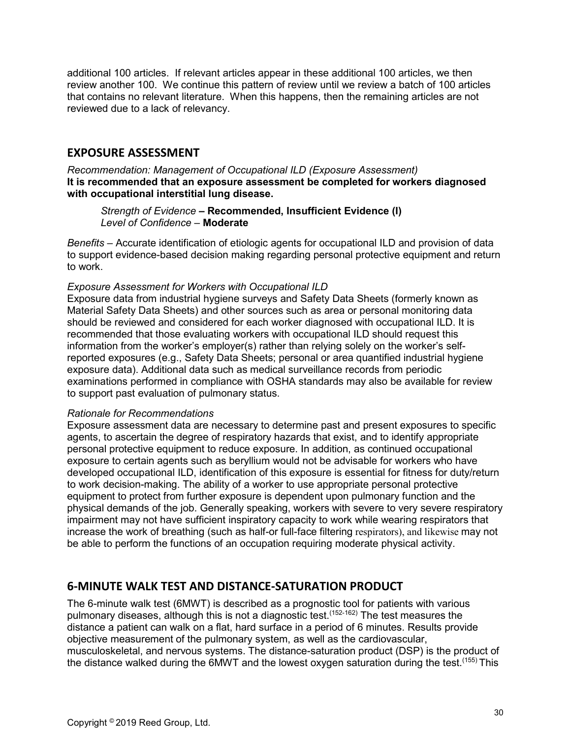additional 100 articles. If relevant articles appear in these additional 100 articles, we then review another 100. We continue this pattern of review until we review a batch of 100 articles that contains no relevant literature. When this happens, then the remaining articles are not reviewed due to a lack of relevancy.

### <span id="page-29-0"></span>**EXPOSURE ASSESSMENT**

*Recommendation: Management of Occupational ILD (Exposure Assessment)* **It is recommended that an exposure assessment be completed for workers diagnosed with occupational interstitial lung disease.**

*Strength of Evidence –* **Recommended, Insufficient Evidence (I)** *Level of Confidence –* **Moderate**

*Benefits* – Accurate identification of etiologic agents for occupational ILD and provision of data to support evidence-based decision making regarding personal protective equipment and return to work.

#### *Exposure Assessment for Workers with Occupational ILD*

Exposure data from industrial hygiene surveys and Safety Data Sheets (formerly known as Material Safety Data Sheets) and other sources such as area or personal monitoring data should be reviewed and considered for each worker diagnosed with occupational ILD. It is recommended that those evaluating workers with occupational ILD should request this information from the worker's employer(s) rather than relying solely on the worker's selfreported exposures (e.g., Safety Data Sheets; personal or area quantified industrial hygiene exposure data). Additional data such as medical surveillance records from periodic examinations performed in compliance with OSHA standards may also be available for review to support past evaluation of pulmonary status.

#### *Rationale for Recommendations*

Exposure assessment data are necessary to determine past and present exposures to specific agents, to ascertain the degree of respiratory hazards that exist, and to identify appropriate personal protective equipment to reduce exposure. In addition, as continued occupational exposure to certain agents such as beryllium would not be advisable for workers who have developed occupational ILD, identification of this exposure is essential for fitness for duty/return to work decision-making. The ability of a worker to use appropriate personal protective equipment to protect from further exposure is dependent upon pulmonary function and the physical demands of the job. Generally speaking, workers with severe to very severe respiratory impairment may not have sufficient inspiratory capacity to work while wearing respirators that increase the work of breathing (such as half-or full-face filtering respirators), and likewise may not be able to perform the functions of an occupation requiring moderate physical activity.

## <span id="page-29-1"></span>**6-MINUTE WALK TEST AND DISTANCE-SATURATION PRODUCT**

The 6-minute walk test (6MWT) is described as a prognostic tool for patients with various pulmonary diseases, although this is not a diagnostic test.(152-162) The test measures the distance a patient can walk on a flat, hard surface in a period of 6 minutes. Results provide objective measurement of the pulmonary system, as well as the cardiovascular, musculoskeletal, and nervous systems. The distance-saturation product (DSP) is the product of the distance walked during the  $6MWT$  and the lowest oxygen saturation during the test.<sup> $(155)$ </sup> This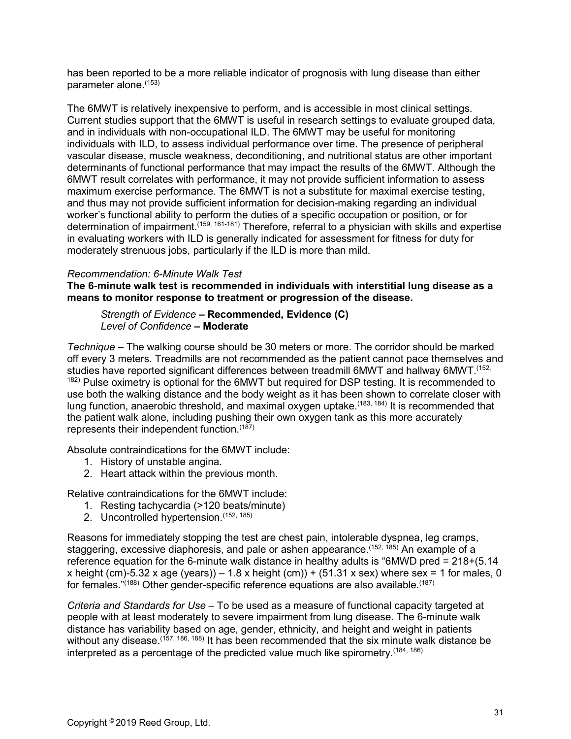has been reported to be a more reliable indicator of prognosis with lung disease than either parameter alone.(153)

The 6MWT is relatively inexpensive to perform, and is accessible in most clinical settings. Current studies support that the 6MWT is useful in research settings to evaluate grouped data, and in individuals with non-occupational ILD. The 6MWT may be useful for monitoring individuals with ILD, to assess individual performance over time. The presence of peripheral vascular disease, muscle weakness, deconditioning, and nutritional status are other important determinants of functional performance that may impact the results of the 6MWT. Although the 6MWT result correlates with performance, it may not provide sufficient information to assess maximum exercise performance. The 6MWT is not a substitute for maximal exercise testing, and thus may not provide sufficient information for decision-making regarding an individual worker's functional ability to perform the duties of a specific occupation or position, or for determination of impairment.<sup>(159, 161-181)</sup> Therefore, referral to a physician with skills and expertise in evaluating workers with ILD is generally indicated for assessment for fitness for duty for moderately strenuous jobs, particularly if the ILD is more than mild.

#### *Recommendation: 6-Minute Walk Test*

**The 6-minute walk test is recommended in individuals with interstitial lung disease as a means to monitor response to treatment or progression of the disease.**

#### *Strength of Evidence –* **Recommended, Evidence (C)** *Level of Confidence* **– Moderate**

*Technique* – The walking course should be 30 meters or more. The corridor should be marked off every 3 meters. Treadmills are not recommended as the patient cannot pace themselves and studies have reported significant differences between treadmill 6MWT and hallway 6MWT.(152, <sup>182)</sup> Pulse oximetry is optional for the 6MWT but required for DSP testing. It is recommended to use both the walking distance and the body weight as it has been shown to correlate closer with lung function, anaerobic threshold, and maximal oxygen uptake.<sup>(183, 184)</sup> It is recommended that the patient walk alone, including pushing their own oxygen tank as this more accurately represents their independent function.<sup>(187)</sup>

Absolute contraindications for the 6MWT include:

- 1. History of unstable angina.
- 2. Heart attack within the previous month.

Relative contraindications for the 6MWT include:

- 1. Resting tachycardia (>120 beats/minute)
- 2. Uncontrolled hypertension. (152, 185)

Reasons for immediately stopping the test are chest pain, intolerable dyspnea, leg cramps, staggering, excessive diaphoresis, and pale or ashen appearance.<sup>(152, 185)</sup> An example of a reference equation for the 6-minute walk distance in healthy adults is "6MWD pred = 218+(5.14 x height (cm)-5.32 x age (years)) – 1.8 x height (cm)) + (51.31 x sex) where sex = 1 for males, 0 for females." $(188)$  Other gender-specific reference equations are also available. $(187)$ 

*Criteria and Standards for Use* – To be used as a measure of functional capacity targeted at people with at least moderately to severe impairment from lung disease. The 6-minute walk distance has variability based on age, gender, ethnicity, and height and weight in patients without any disease.<sup>(157, 186, 188)</sup> It has been recommended that the six minute walk distance be interpreted as a percentage of the predicted value much like spirometry.<sup>(184, 186)</sup>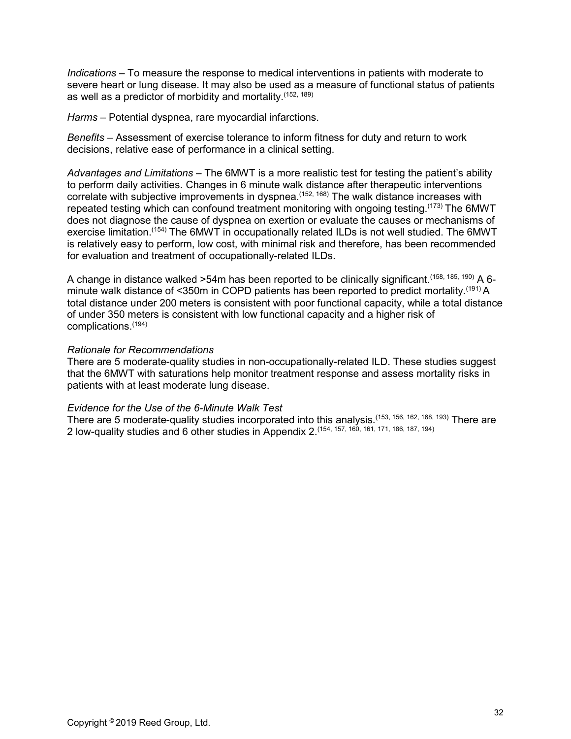*Indications* – To measure the response to medical interventions in patients with moderate to severe heart or lung disease. It may also be used as a measure of functional status of patients as well as a predictor of morbidity and mortality.(152, 189)

*Harms* – Potential dyspnea, rare myocardial infarctions.

*Benefits* – Assessment of exercise tolerance to inform fitness for duty and return to work decisions, relative ease of performance in a clinical setting.

*Advantages and Limitations –* The 6MWT is a more realistic test for testing the patient's ability to perform daily activities. Changes in 6 minute walk distance after therapeutic interventions correlate with subjective improvements in dyspnea.<sup>(152, 168)</sup> The walk distance increases with repeated testing which can confound treatment monitoring with ongoing testing.<sup>(173)</sup> The 6MWT does not diagnose the cause of dyspnea on exertion or evaluate the causes or mechanisms of exercise limitation.(154) The 6MWT in occupationally related ILDs is not well studied. The 6MWT is relatively easy to perform, low cost, with minimal risk and therefore, has been recommended for evaluation and treatment of occupationally-related ILDs.

A change in distance walked  $>54$ m has been reported to be clinically significant.<sup>(158, 185, 190)</sup> A 6minute walk distance of <350m in COPD patients has been reported to predict mortality.<sup>(191)</sup> A total distance under 200 meters is consistent with poor functional capacity, while a total distance of under 350 meters is consistent with low functional capacity and a higher risk of complications.(194)

#### *Rationale for Recommendations*

There are 5 moderate-quality studies in non-occupationally-related ILD. These studies suggest that the 6MWT with saturations help monitor treatment response and assess mortality risks in patients with at least moderate lung disease.

#### *Evidence for the Use of the 6-Minute Walk Test*

<span id="page-31-0"></span>There are 5 moderate-quality studies incorporated into this analysis.<sup>(153, 156, 162, 168, 193)</sup> There are 2 low-quality studies and 6 other studies in Appendix 2.(154, 157, 160, 161, 171, 186, 187, 194)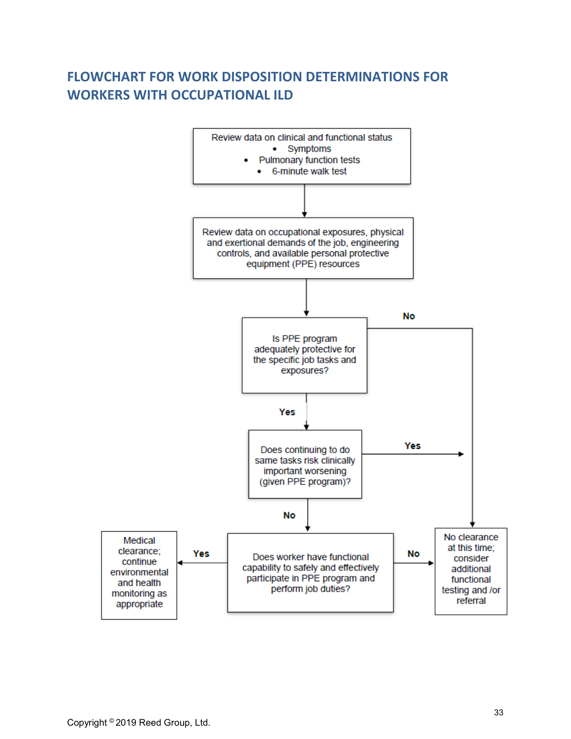# **FLOWCHART FOR WORK DISPOSITION DETERMINATIONS FOR WORKERS WITH OCCUPATIONAL ILD**

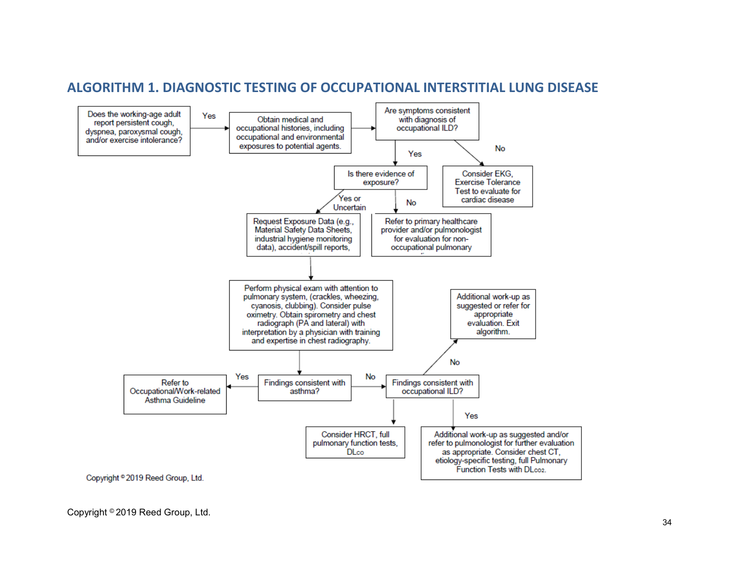<span id="page-33-0"></span>

## **ALGORITHM 1. DIAGNOSTIC TESTING OF OCCUPATIONAL INTERSTITIAL LUNG DISEASE**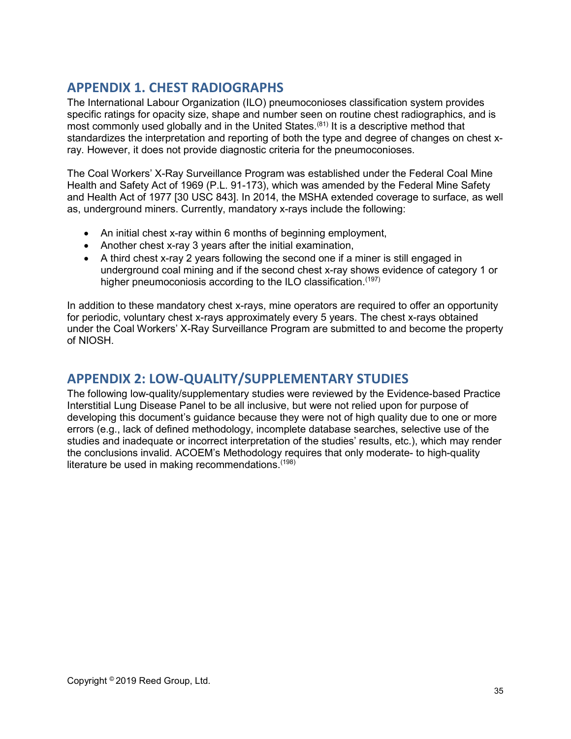# <span id="page-34-0"></span>**APPENDIX 1. CHEST RADIOGRAPHS**

The International Labour Organization (ILO) pneumoconioses classification system provides specific ratings for opacity size, shape and number seen on routine chest radiographics, and is most commonly used globally and in the United States.<sup>(81)</sup> It is a descriptive method that standardizes the interpretation and reporting of both the type and degree of changes on chest xray. However, it does not provide diagnostic criteria for the pneumoconioses.

The Coal Workers' X-Ray Surveillance Program was established under the Federal Coal Mine Health and Safety Act of 1969 (P.L. 91-173), which was amended by the Federal Mine Safety and Health Act of 1977 [30 USC 843]. In 2014, the MSHA extended coverage to surface, as well as, underground miners. Currently, mandatory x-rays include the following:

- An initial chest x-ray within 6 months of beginning employment,
- Another chest x-ray 3 years after the initial examination,
- A third chest x-ray 2 years following the second one if a miner is still engaged in underground coal mining and if the second chest x-ray shows evidence of category 1 or higher pneumoconiosis according to the ILO classification.<sup>(197)</sup>

In addition to these mandatory chest x-rays, mine operators are required to offer an opportunity for periodic, voluntary chest x-rays approximately every 5 years. The chest x-rays obtained under the Coal Workers' X-Ray Surveillance Program are submitted to and become the property of NIOSH.

## <span id="page-34-1"></span>**APPENDIX 2: LOW-QUALITY/SUPPLEMENTARY STUDIES**

The following low-quality/supplementary studies were reviewed by the Evidence-based Practice Interstitial Lung Disease Panel to be all inclusive, but were not relied upon for purpose of developing this document's guidance because they were not of high quality due to one or more errors (e.g., lack of defined methodology, incomplete database searches, selective use of the studies and inadequate or incorrect interpretation of the studies' results, etc.), which may render the conclusions invalid. ACOEM's Methodology requires that only moderate- to high-quality literature be used in making recommendations.<sup>(198)</sup>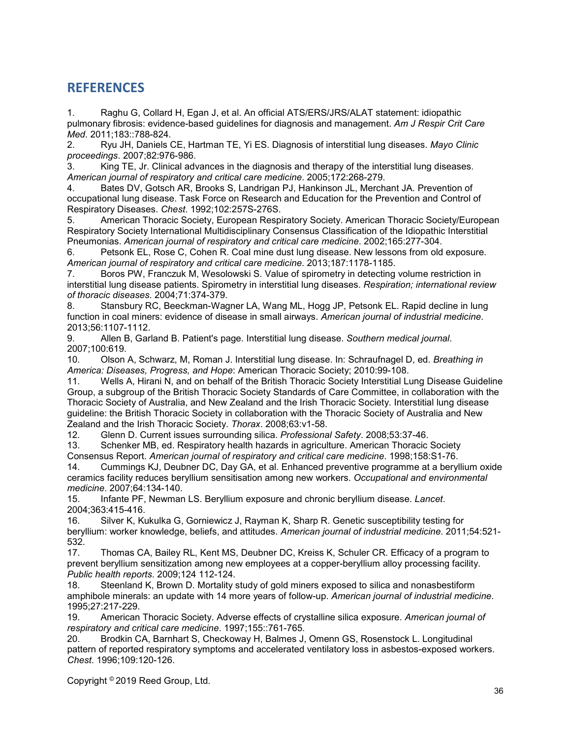## <span id="page-35-0"></span>**REFERENCES**

1. Raghu G, Collard H, Egan J, et al. An official ATS/ERS/JRS/ALAT statement: idiopathic pulmonary fibrosis: evidence-based guidelines for diagnosis and management. *Am J Respir Crit Care Med*. 2011;183::788-824.

2. Ryu JH, Daniels CE, Hartman TE, Yi ES. Diagnosis of interstitial lung diseases. *Mayo Clinic proceedings*. 2007;82:976-986.

3. King TE, Jr. Clinical advances in the diagnosis and therapy of the interstitial lung diseases. *American journal of respiratory and critical care medicine*. 2005;172:268-279.

4. Bates DV, Gotsch AR, Brooks S, Landrigan PJ, Hankinson JL, Merchant JA. Prevention of occupational lung disease. Task Force on Research and Education for the Prevention and Control of Respiratory Diseases. *Chest*. 1992;102:257S-276S.

American Thoracic Society, European Respiratory Society. American Thoracic Society/European Respiratory Society International Multidisciplinary Consensus Classification of the Idiopathic Interstitial Pneumonias. *American journal of respiratory and critical care medicine*. 2002;165:277-304.

6. Petsonk EL, Rose C, Cohen R. Coal mine dust lung disease. New lessons from old exposure. *American journal of respiratory and critical care medicine*. 2013;187:1178-1185.

7. Boros PW, Franczuk M, Wesolowski S. Value of spirometry in detecting volume restriction in interstitial lung disease patients. Spirometry in interstitial lung diseases. *Respiration; international review of thoracic diseases*. 2004;71:374-379.

8. Stansbury RC, Beeckman-Wagner LA, Wang ML, Hogg JP, Petsonk EL. Rapid decline in lung function in coal miners: evidence of disease in small airways. *American journal of industrial medicine*. 2013;56:1107-1112.

9. Allen B, Garland B. Patient's page. Interstitial lung disease. *Southern medical journal*. 2007;100:619.

10. Olson A, Schwarz, M, Roman J. Interstitial lung disease. In: Schraufnagel D, ed. *Breathing in America: Diseases, Progress, and Hope*: American Thoracic Society; 2010:99-108.

11. Wells A, Hirani N, and on behalf of the British Thoracic Society Interstitial Lung Disease Guideline Group, a subgroup of the British Thoracic Society Standards of Care Committee, in collaboration with the Thoracic Society of Australia, and New Zealand and the Irish Thoracic Society. Interstitial lung disease guideline: the British Thoracic Society in collaboration with the Thoracic Society of Australia and New Zealand and the Irish Thoracic Society. *Thorax*. 2008;63:v1-58.

12. Glenn D. Current issues surrounding silica. *Professional Safety*. 2008;53:37-46. Schenker MB, ed. Respiratory health hazards in agriculture. American Thoracic Society Consensus Report. *American journal of respiratory and critical care medicine*. 1998;158:S1-76.

14. Cummings KJ, Deubner DC, Day GA, et al. Enhanced preventive programme at a beryllium oxide ceramics facility reduces beryllium sensitisation among new workers. *Occupational and environmental medicine*. 2007;64:134-140.

15. Infante PF, Newman LS. Beryllium exposure and chronic beryllium disease. *Lancet*. 2004;363:415-416.

16. Silver K, Kukulka G, Gorniewicz J, Rayman K, Sharp R. Genetic susceptibility testing for beryllium: worker knowledge, beliefs, and attitudes. *American journal of industrial medicine*. 2011;54:521- 532.

17. Thomas CA, Bailey RL, Kent MS, Deubner DC, Kreiss K, Schuler CR. Efficacy of a program to prevent beryllium sensitization among new employees at a copper-beryllium alloy processing facility. *Public health reports*. 2009;124 112-124.

18. Steenland K, Brown D. Mortality study of gold miners exposed to silica and nonasbestiform amphibole minerals: an update with 14 more years of follow-up. *American journal of industrial medicine*. 1995;27:217-229.

19. American Thoracic Society. Adverse effects of crystalline silica exposure. *American journal of respiratory and critical care medicine*. 1997;155::761-765.

20. Brodkin CA, Barnhart S, Checkoway H, Balmes J, Omenn GS, Rosenstock L. Longitudinal pattern of reported respiratory symptoms and accelerated ventilatory loss in asbestos-exposed workers. *Chest*. 1996;109:120-126.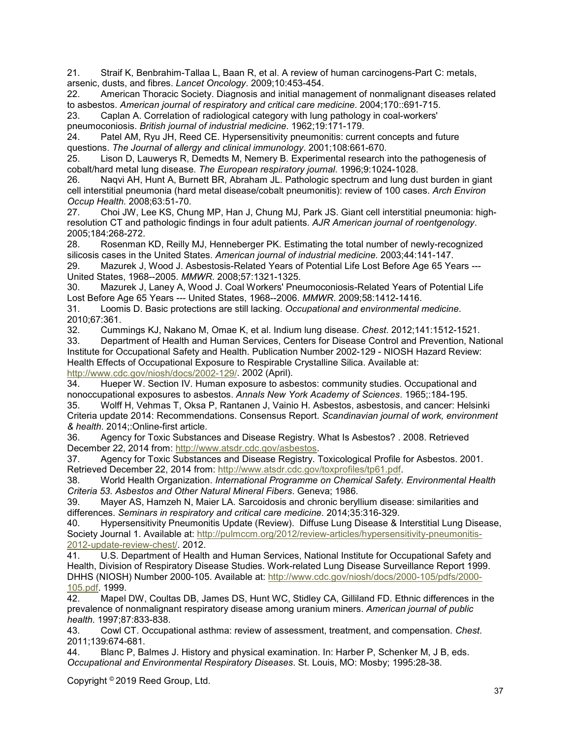21. Straif K, Benbrahim-Tallaa L, Baan R, et al. A review of human carcinogens-Part C: metals, arsenic, dusts, and fibres. *Lancet Oncology*. 2009;10:453-454.

22. American Thoracic Society. Diagnosis and initial management of nonmalignant diseases related to asbestos. *American journal of respiratory and critical care medicine*. 2004;170::691-715.

23. Caplan A. Correlation of radiological category with lung pathology in coal-workers' pneumoconiosis. *British journal of industrial medicine*. 1962;19:171-179.

24. Patel AM, Ryu JH, Reed CE. Hypersensitivity pneumonitis: current concepts and future questions. *The Journal of allergy and clinical immunology*. 2001;108:661-670.

Lison D, Lauwerys R, Demedts M, Nemery B. Experimental research into the pathogenesis of cobalt/hard metal lung disease. *The European respiratory journal*. 1996;9:1024-1028.

26. Naqvi AH, Hunt A, Burnett BR, Abraham JL. Pathologic spectrum and lung dust burden in giant cell interstitial pneumonia (hard metal disease/cobalt pneumonitis): review of 100 cases. *Arch Environ Occup Health*. 2008;63:51-70.

27. Choi JW, Lee KS, Chung MP, Han J, Chung MJ, Park JS. Giant cell interstitial pneumonia: highresolution CT and pathologic findings in four adult patients. *AJR American journal of roentgenology*. 2005;184:268-272.

28. Rosenman KD, Reilly MJ, Henneberger PK. Estimating the total number of newly-recognized silicosis cases in the United States. *American journal of industrial medicine*. 2003;44:141-147.

29. Mazurek J, Wood J. Asbestosis-Related Years of Potential Life Lost Before Age 65 Years --- United States, 1968--2005. *MMWR*. 2008;57:1321-1325.

Mazurek J, Laney A, Wood J. Coal Workers' Pneumoconiosis-Related Years of Potential Life Lost Before Age 65 Years --- United States, 1968--2006. *MMWR*. 2009;58:1412-1416.

31. Loomis D. Basic protections are still lacking. *Occupational and environmental medicine*. 2010;67:361.

32. Cummings KJ, Nakano M, Omae K, et al. Indium lung disease. *Chest*. 2012;141:1512-1521. 33. Department of Health and Human Services, Centers for Disease Control and Prevention, National

Institute for Occupational Safety and Health. Publication Number 2002-129 - NIOSH Hazard Review: Health Effects of Occupational Exposure to Respirable Crystalline Silica. Available at: [http://www.cdc.gov/niosh/docs/2002-129/.](http://www.cdc.gov/niosh/docs/2002-129/) 2002 (April).<br>34. Hueper W. Section IV. Human exposure to asb

Hueper W. Section IV. Human exposure to asbestos: community studies. Occupational and nonoccupational exposures to asbestos. *Annals New York Academy of Sciences*. 1965;:184-195.

35. Wolff H, Vehmas T, Oksa P, Rantanen J, Vainio H. Asbestos, asbestosis, and cancer: Helsinki Criteria update 2014: Recommendations. Consensus Report. *Scandinavian journal of work, environment & health*. 2014;:Online-first article.

36. Agency for Toxic Substances and Disease Registry. What Is Asbestos? . 2008. Retrieved December 22, 2014 from: [http://www.atsdr.cdc.gov/asbestos.](http://www.atsdr.cdc.gov/asbestos)

37. Agency for Toxic Substances and Disease Registry. Toxicological Profile for Asbestos. 2001. Retrieved December 22, 2014 from[: http://www.atsdr.cdc.gov/toxprofiles/tp61.pdf.](http://www.atsdr.cdc.gov/toxprofiles/tp61.pdf)

38. World Health Organization. *International Programme on Chemical Safety. Environmental Health Criteria 53. Asbestos and Other Natural Mineral Fibers*. Geneva; 1986.

39. Mayer AS, Hamzeh N, Maier LA. Sarcoidosis and chronic beryllium disease: similarities and differences. *Seminars in respiratory and critical care medicine*. 2014;35:316-329.

Hypersensitivity Pneumonitis Update (Review). Diffuse Lung Disease & Interstitial Lung Disease, Society Journal 1. Available at: [http://pulmccm.org/2012/review-articles/hypersensitivity-pneumonitis-](http://pulmccm.org/2012/review-articles/hypersensitivity-pneumonitis-2012-update-review-chest/)[2012-update-review-chest/.](http://pulmccm.org/2012/review-articles/hypersensitivity-pneumonitis-2012-update-review-chest/) 2012.<br>41. U.S. Department of Health

41. U.S. Department of Health and Human Services, National Institute for Occupational Safety and Health, Division of Respiratory Disease Studies. Work-related Lung Disease Surveillance Report 1999. DHHS (NIOSH) Number 2000-105. Available at: [http://www.cdc.gov/niosh/docs/2000-105/pdfs/2000-](http://www.cdc.gov/niosh/docs/2000-105/pdfs/2000-105.pdf) [105.pdf.](http://www.cdc.gov/niosh/docs/2000-105/pdfs/2000-105.pdf) 1999.

42. Mapel DW, Coultas DB, James DS, Hunt WC, Stidley CA, Gilliland FD. Ethnic differences in the prevalence of nonmalignant respiratory disease among uranium miners. *American journal of public health*. 1997;87:833-838.

43. Cowl CT. Occupational asthma: review of assessment, treatment, and compensation. *Chest*. 2011;139:674-681.<br>44. Blanc P. Ba

Blanc P, Balmes J. History and physical examination. In: Harber P, Schenker M, J B, eds. *Occupational and Environmental Respiratory Diseases*. St. Louis, MO: Mosby; 1995:28-38.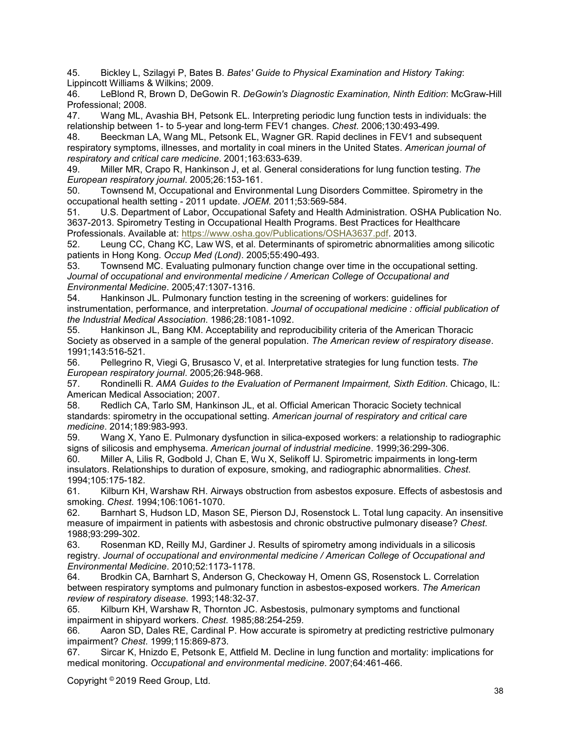45. Bickley L, Szilagyi P, Bates B. *Bates' Guide to Physical Examination and History Taking*: Lippincott Williams & Wilkins; 2009.

46. LeBlond R, Brown D, DeGowin R. *DeGowin's Diagnostic Examination, Ninth Edition*: McGraw-Hill Professional; 2008.

47. Wang ML, Avashia BH, Petsonk EL. Interpreting periodic lung function tests in individuals: the relationship between 1- to 5-year and long-term FEV1 changes. *Chest*. 2006;130:493-499.

48. Beeckman LA, Wang ML, Petsonk EL, Wagner GR. Rapid declines in FEV1 and subsequent respiratory symptoms, illnesses, and mortality in coal miners in the United States. *American journal of respiratory and critical care medicine*. 2001;163:633-639.

49. Miller MR, Crapo R, Hankinson J, et al. General considerations for lung function testing. *The European respiratory journal*. 2005;26:153-161.

50. Townsend M, Occupational and Environmental Lung Disorders Committee. Spirometry in the occupational health setting - 2011 update. *JOEM*. 2011;53:569-584.

51. U.S. Department of Labor, Occupational Safety and Health Administration. OSHA Publication No. 3637-2013. Spirometry Testing in Occupational Health Programs. Best Practices for Healthcare Professionals. Available at: [https://www.osha.gov/Publications/OSHA3637.pdf.](https://www.osha.gov/Publications/OSHA3637.pdf) 2013.

52. Leung CC, Chang KC, Law WS, et al. Determinants of spirometric abnormalities among silicotic patients in Hong Kong. *Occup Med (Lond)*. 2005;55:490-493.

53. Townsend MC. Evaluating pulmonary function change over time in the occupational setting. *Journal of occupational and environmental medicine / American College of Occupational and Environmental Medicine*. 2005;47:1307-1316.

54. Hankinson JL. Pulmonary function testing in the screening of workers: guidelines for instrumentation, performance, and interpretation. *Journal of occupational medicine : official publication of the Industrial Medical Association*. 1986;28:1081-1092.

55. Hankinson JL, Bang KM. Acceptability and reproducibility criteria of the American Thoracic Society as observed in a sample of the general population. *The American review of respiratory disease*. 1991;143:516-521.

56. Pellegrino R, Viegi G, Brusasco V, et al. Interpretative strategies for lung function tests. *The European respiratory journal*. 2005;26:948-968.

57. Rondinelli R. *AMA Guides to the Evaluation of Permanent Impairment, Sixth Edition*. Chicago, IL: American Medical Association; 2007.

58. Redlich CA, Tarlo SM, Hankinson JL, et al. Official American Thoracic Society technical standards: spirometry in the occupational setting. *American journal of respiratory and critical care medicine*. 2014;189:983-993.

59. Wang X, Yano E. Pulmonary dysfunction in silica-exposed workers: a relationship to radiographic signs of silicosis and emphysema. *American journal of industrial medicine*. 1999;36:299-306.

60. Miller A, Lilis R, Godbold J, Chan E, Wu X, Selikoff IJ. Spirometric impairments in long-term insulators. Relationships to duration of exposure, smoking, and radiographic abnormalities. *Chest*. 1994;105:175-182.

61. Kilburn KH, Warshaw RH. Airways obstruction from asbestos exposure. Effects of asbestosis and smoking. *Chest*. 1994;106:1061-1070.

62. Barnhart S, Hudson LD, Mason SE, Pierson DJ, Rosenstock L. Total lung capacity. An insensitive measure of impairment in patients with asbestosis and chronic obstructive pulmonary disease? *Chest*. 1988;93:299-302.

63. Rosenman KD, Reilly MJ, Gardiner J. Results of spirometry among individuals in a silicosis registry. *Journal of occupational and environmental medicine / American College of Occupational and Environmental Medicine*. 2010;52:1173-1178.

64. Brodkin CA, Barnhart S, Anderson G, Checkoway H, Omenn GS, Rosenstock L. Correlation between respiratory symptoms and pulmonary function in asbestos-exposed workers. *The American review of respiratory disease*. 1993;148:32-37.

65. Kilburn KH, Warshaw R, Thornton JC. Asbestosis, pulmonary symptoms and functional impairment in shipyard workers. *Chest*. 1985;88:254-259.

66. Aaron SD, Dales RE, Cardinal P. How accurate is spirometry at predicting restrictive pulmonary impairment? *Chest*. 1999;115:869-873.

67. Sircar K, Hnizdo E, Petsonk E, Attfield M. Decline in lung function and mortality: implications for medical monitoring. *Occupational and environmental medicine*. 2007;64:461-466.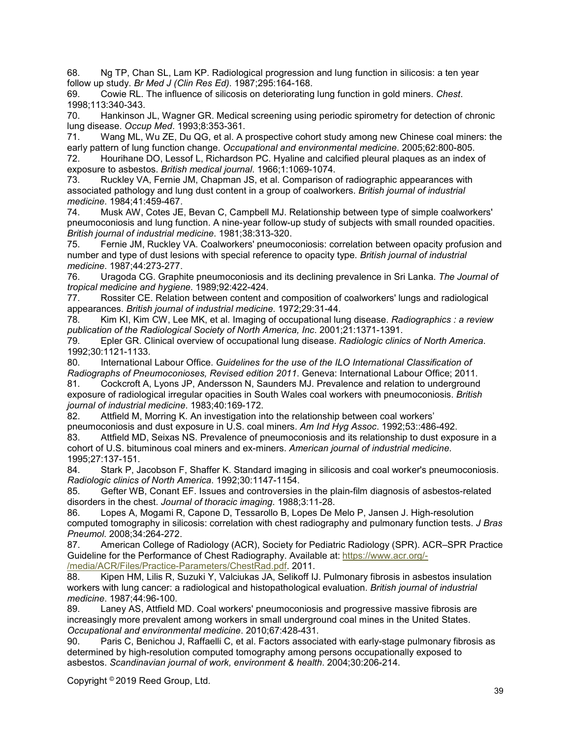68. Ng TP, Chan SL, Lam KP. Radiological progression and lung function in silicosis: a ten year follow up study. *Br Med J (Clin Res Ed)*. 1987;295:164-168.

69. Cowie RL. The influence of silicosis on deteriorating lung function in gold miners. *Chest*. 1998;113:340-343.

70. Hankinson JL, Wagner GR. Medical screening using periodic spirometry for detection of chronic lung disease. *Occup Med*. 1993;8:353-361.

71. Wang ML, Wu ZE, Du QG, et al. A prospective cohort study among new Chinese coal miners: the early pattern of lung function change. *Occupational and environmental medicine*. 2005;62:800-805.

72. Hourihane DO, Lessof L, Richardson PC. Hyaline and calcified pleural plaques as an index of exposure to asbestos. *British medical journal*. 1966;1:1069-1074.

73. Ruckley VA, Fernie JM, Chapman JS, et al. Comparison of radiographic appearances with associated pathology and lung dust content in a group of coalworkers. *British journal of industrial medicine*. 1984;41:459-467.

74. Musk AW, Cotes JE, Bevan C, Campbell MJ. Relationship between type of simple coalworkers' pneumoconiosis and lung function. A nine-year follow-up study of subjects with small rounded opacities. *British journal of industrial medicine*. 1981;38:313-320.

75. Fernie JM, Ruckley VA. Coalworkers' pneumoconiosis: correlation between opacity profusion and number and type of dust lesions with special reference to opacity type. *British journal of industrial medicine*. 1987;44:273-277.

76. Uragoda CG. Graphite pneumoconiosis and its declining prevalence in Sri Lanka. *The Journal of tropical medicine and hygiene*. 1989;92:422-424.

77. Rossiter CE. Relation between content and composition of coalworkers' lungs and radiological appearances. *British journal of industrial medicine*. 1972;29:31-44.

78. Kim KI, Kim CW, Lee MK, et al. Imaging of occupational lung disease. *Radiographics : a review publication of the Radiological Society of North America, Inc*. 2001;21:1371-1391.

79. Epler GR. Clinical overview of occupational lung disease. *Radiologic clinics of North America*. 1992;30:1121-1133.

80. International Labour Office. *Guidelines for the use of the ILO International Classification of Radiographs of Pneumoconioses, Revised edition 2011*. Geneva: International Labour Office; 2011.

81. Cockcroft A, Lyons JP, Andersson N, Saunders MJ. Prevalence and relation to underground exposure of radiological irregular opacities in South Wales coal workers with pneumoconiosis. *British journal of industrial medicine*. 1983;40:169-172.

82. Attfield M, Morring K. An investigation into the relationship between coal workers'

pneumoconiosis and dust exposure in U.S. coal miners. *Am Ind Hyg Assoc*. 1992;53::486-492.

83. Attfield MD, Seixas NS. Prevalence of pneumoconiosis and its relationship to dust exposure in a cohort of U.S. bituminous coal miners and ex-miners. *American journal of industrial medicine*. 1995;27:137-151.

84. Stark P, Jacobson F, Shaffer K. Standard imaging in silicosis and coal worker's pneumoconiosis. *Radiologic clinics of North America*. 1992;30:1147-1154.

85. Gefter WB, Conant EF. Issues and controversies in the plain-film diagnosis of asbestos-related disorders in the chest. *Journal of thoracic imaging*. 1988;3:11-28.

86. Lopes A, Mogami R, Capone D, Tessarollo B, Lopes De Melo P, Jansen J. High-resolution computed tomography in silicosis: correlation with chest radiography and pulmonary function tests. *J Bras Pneumol*. 2008;34:264-272.

87. American College of Radiology (ACR), Society for Pediatric Radiology (SPR). ACR–SPR Practice Guideline for the Performance of Chest Radiography. Available at: [https://www.acr.org/-](https://www.acr.org/-/media/ACR/Files/Practice-Parameters/ChestRad.pdf) [/media/ACR/Files/Practice-Parameters/ChestRad.pdf.](https://www.acr.org/-/media/ACR/Files/Practice-Parameters/ChestRad.pdf) 2011.

88. Kipen HM, Lilis R, Suzuki Y, Valciukas JA, Selikoff IJ. Pulmonary fibrosis in asbestos insulation workers with lung cancer: a radiological and histopathological evaluation. *British journal of industrial medicine*. 1987;44:96-100.

89. Laney AS, Attfield MD. Coal workers' pneumoconiosis and progressive massive fibrosis are increasingly more prevalent among workers in small underground coal mines in the United States. *Occupational and environmental medicine*. 2010;67:428-431.

90. Paris C, Benichou J, Raffaelli C, et al. Factors associated with early-stage pulmonary fibrosis as determined by high-resolution computed tomography among persons occupationally exposed to asbestos. *Scandinavian journal of work, environment & health*. 2004;30:206-214.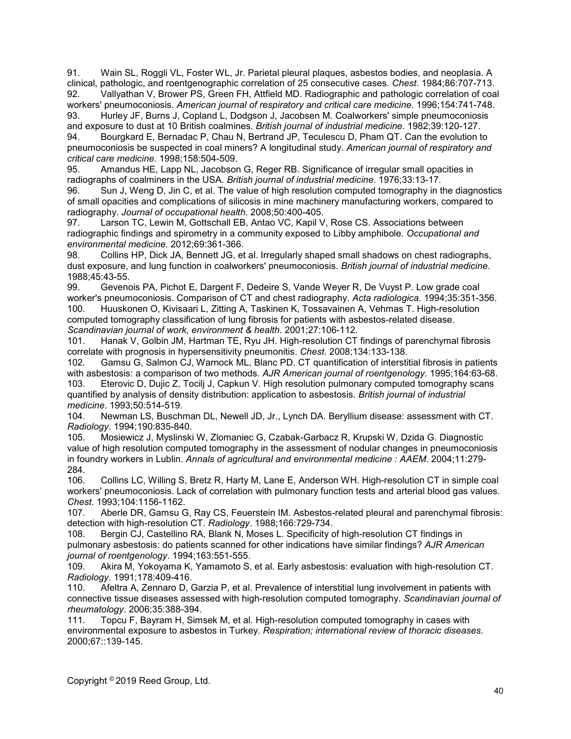91. Wain SL, Roggli VL, Foster WL, Jr. Parietal pleural plaques, asbestos bodies, and neoplasia. A clinical, pathologic, and roentgenographic correlation of 25 consecutive cases. *Chest*. 1984;86:707-713. 92. Vallyathan V, Brower PS, Green FH, Attfield MD. Radiographic and pathologic correlation of coal

workers' pneumoconiosis. *American journal of respiratory and critical care medicine*. 1996;154:741-748. 93. Hurley JF, Burns J, Copland L, Dodgson J, Jacobsen M. Coalworkers' simple pneumoconiosis and exposure to dust at 10 British coalmines. *British journal of industrial medicine*. 1982;39:120-127.

94. Bourgkard E, Bernadac P, Chau N, Bertrand JP, Teculescu D, Pham QT. Can the evolution to pneumoconiosis be suspected in coal miners? A longitudinal study. *American journal of respiratory and critical care medicine*. 1998;158:504-509.

95. Amandus HE, Lapp NL, Jacobson G, Reger RB. Significance of irregular small opacities in radiographs of coalminers in the USA. *British journal of industrial medicine*. 1976;33:13-17.

Sun J, Weng D, Jin C, et al. The value of high resolution computed tomography in the diagnostics of small opacities and complications of silicosis in mine machinery manufacturing workers, compared to radiography. *Journal of occupational health*. 2008;50:400-405.

97. Larson TC, Lewin M, Gottschall EB, Antao VC, Kapil V, Rose CS. Associations between radiographic findings and spirometry in a community exposed to Libby amphibole. *Occupational and environmental medicine*. 2012;69:361-366.

98. Collins HP, Dick JA, Bennett JG, et al. Irregularly shaped small shadows on chest radiographs, dust exposure, and lung function in coalworkers' pneumoconiosis. *British journal of industrial medicine*. 1988;45:43-55.

99. Gevenois PA, Pichot E, Dargent F, Dedeire S, Vande Weyer R, De Vuyst P. Low grade coal worker's pneumoconiosis. Comparison of CT and chest radiography. *Acta radiologica*. 1994;35:351-356. 100. Huuskonen O, Kivisaari L, Zitting A, Taskinen K, Tossavainen A, Vehmas T. High-resolution computed tomography classification of lung fibrosis for patients with asbestos-related disease. *Scandinavian journal of work, environment & health*. 2001;27:106-112.

101. Hanak V, Golbin JM, Hartman TE, Ryu JH. High-resolution CT findings of parenchymal fibrosis correlate with prognosis in hypersensitivity pneumonitis. *Chest*. 2008;134:133-138.

102. Gamsu G, Salmon CJ, Warnock ML, Blanc PD. CT quantification of interstitial fibrosis in patients with asbestosis: a comparison of two methods. *AJR American journal of roentgenology*. 1995;164:63-68. 103. Eterovic D, Dujic Z, Tocilj J, Capkun V. High resolution pulmonary computed tomography scans quantified by analysis of density distribution: application to asbestosis. *British journal of industrial medicine*. 1993;50:514-519.

104. Newman LS, Buschman DL, Newell JD, Jr., Lynch DA. Beryllium disease: assessment with CT. *Radiology*. 1994;190:835-840.

105. Mosiewicz J, Myslinski W, Zlomaniec G, Czabak-Garbacz R, Krupski W, Dzida G. Diagnostic value of high resolution computed tomography in the assessment of nodular changes in pneumoconiosis in foundry workers in Lublin. *Annals of agricultural and environmental medicine : AAEM*. 2004;11:279- 284.

106. Collins LC, Willing S, Bretz R, Harty M, Lane E, Anderson WH. High-resolution CT in simple coal workers' pneumoconiosis. Lack of correlation with pulmonary function tests and arterial blood gas values. *Chest*. 1993;104:1156-1162.

Aberle DR, Gamsu G, Ray CS, Feuerstein IM. Asbestos-related pleural and parenchymal fibrosis: detection with high-resolution CT. *Radiology*. 1988;166:729-734.

108. Bergin CJ, Castellino RA, Blank N, Moses L. Specificity of high-resolution CT findings in pulmonary asbestosis: do patients scanned for other indications have similar findings? *AJR American journal of roentgenology*. 1994;163:551-555.

109. Akira M, Yokoyama K, Yamamoto S, et al. Early asbestosis: evaluation with high-resolution CT. *Radiology*. 1991;178:409-416.

110. Afeltra A, Zennaro D, Garzia P, et al. Prevalence of interstitial lung involvement in patients with connective tissue diseases assessed with high-resolution computed tomography. *Scandinavian journal of rheumatology*. 2006;35:388-394.

111. Topcu F, Bayram H, Simsek M, et al. High-resolution computed tomography in cases with environmental exposure to asbestos in Turkey. *Respiration; international review of thoracic diseases*. 2000;67::139-145.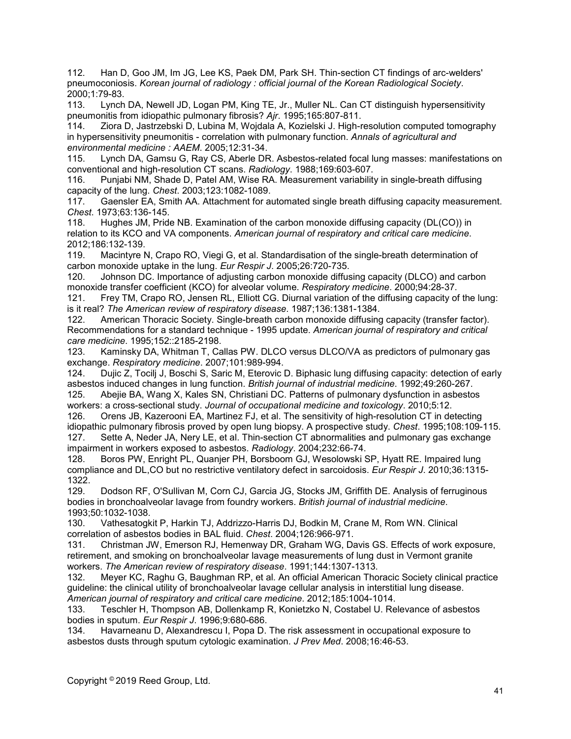112. Han D, Goo JM, Im JG, Lee KS, Paek DM, Park SH. Thin-section CT findings of arc-welders' pneumoconiosis. *Korean journal of radiology : official journal of the Korean Radiological Society*. 2000;1:79-83.

113. Lynch DA, Newell JD, Logan PM, King TE, Jr., Muller NL. Can CT distinguish hypersensitivity pneumonitis from idiopathic pulmonary fibrosis? *Ajr*. 1995;165:807-811.

114. Ziora D, Jastrzebski D, Lubina M, Wojdala A, Kozielski J. High-resolution computed tomography in hypersensitivity pneumonitis - correlation with pulmonary function. *Annals of agricultural and environmental medicine : AAEM*. 2005;12:31-34.

Lynch DA, Gamsu G, Ray CS, Aberle DR. Asbestos-related focal lung masses: manifestations on conventional and high-resolution CT scans. *Radiology*. 1988;169:603-607.

116. Punjabi NM, Shade D, Patel AM, Wise RA. Measurement variability in single-breath diffusing capacity of the lung. *Chest*. 2003;123:1082-1089.

117. Gaensler EA, Smith AA. Attachment for automated single breath diffusing capacity measurement. *Chest*. 1973;63:136-145.

118. Hughes JM, Pride NB. Examination of the carbon monoxide diffusing capacity (DL(CO)) in relation to its KCO and VA components. *American journal of respiratory and critical care medicine*. 2012;186:132-139.

119. Macintyre N, Crapo RO, Viegi G, et al. Standardisation of the single-breath determination of carbon monoxide uptake in the lung. *Eur Respir J*. 2005;26:720-735.

120. Johnson DC. Importance of adjusting carbon monoxide diffusing capacity (DLCO) and carbon monoxide transfer coefficient (KCO) for alveolar volume. *Respiratory medicine*. 2000;94:28-37.

121. Frey TM, Crapo RO, Jensen RL, Elliott CG. Diurnal variation of the diffusing capacity of the lung: is it real? *The American review of respiratory disease*. 1987;136:1381-1384.

American Thoracic Society. Single-breath carbon monoxide diffusing capacity (transfer factor). Recommendations for a standard technique - 1995 update. *American journal of respiratory and critical care medicine*. 1995;152::2185-2198.

123. Kaminsky DA, Whitman T, Callas PW. DLCO versus DLCO/VA as predictors of pulmonary gas exchange. *Respiratory medicine*. 2007;101:989-994.

124. Dujic Z, Tocilj J, Boschi S, Saric M, Eterovic D. Biphasic lung diffusing capacity: detection of early asbestos induced changes in lung function. *British journal of industrial medicine*. 1992;49:260-267.

125. Abejie BA, Wang X, Kales SN, Christiani DC. Patterns of pulmonary dysfunction in asbestos workers: a cross-sectional study. *Journal of occupational medicine and toxicology*. 2010;5:12.

126. Orens JB, Kazerooni EA, Martinez FJ, et al. The sensitivity of high-resolution CT in detecting idiopathic pulmonary fibrosis proved by open lung biopsy. A prospective study. *Chest*. 1995;108:109-115. 127. Sette A, Neder JA, Nery LE, et al. Thin-section CT abnormalities and pulmonary gas exchange impairment in workers exposed to asbestos. *Radiology*. 2004;232:66-74.

128. Boros PW, Enright PL, Quanjer PH, Borsboom GJ, Wesolowski SP, Hyatt RE. Impaired lung compliance and DL,CO but no restrictive ventilatory defect in sarcoidosis. *Eur Respir J*. 2010;36:1315- 1322.

129. Dodson RF, O'Sullivan M, Corn CJ, Garcia JG, Stocks JM, Griffith DE. Analysis of ferruginous bodies in bronchoalveolar lavage from foundry workers. *British journal of industrial medicine*. 1993;50:1032-1038.

130. Vathesatogkit P, Harkin TJ, Addrizzo-Harris DJ, Bodkin M, Crane M, Rom WN. Clinical correlation of asbestos bodies in BAL fluid. *Chest*. 2004;126:966-971.

131. Christman JW, Emerson RJ, Hemenway DR, Graham WG, Davis GS. Effects of work exposure, retirement, and smoking on bronchoalveolar lavage measurements of lung dust in Vermont granite workers. *The American review of respiratory disease*. 1991;144:1307-1313.

132. Meyer KC, Raghu G, Baughman RP, et al. An official American Thoracic Society clinical practice guideline: the clinical utility of bronchoalveolar lavage cellular analysis in interstitial lung disease. *American journal of respiratory and critical care medicine*. 2012;185:1004-1014.

133. Teschler H, Thompson AB, Dollenkamp R, Konietzko N, Costabel U. Relevance of asbestos bodies in sputum. *Eur Respir J*. 1996;9:680-686.

134. Havarneanu D, Alexandrescu I, Popa D. The risk assessment in occupational exposure to asbestos dusts through sputum cytologic examination. *J Prev Med*. 2008;16:46-53.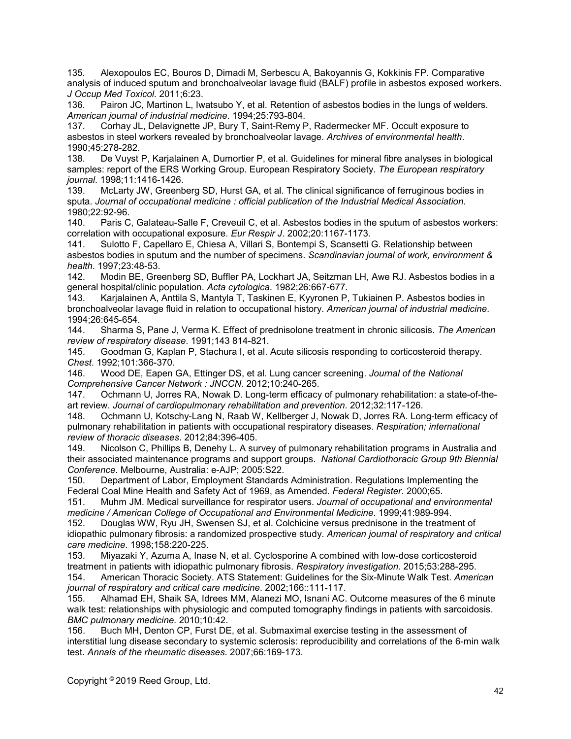135. Alexopoulos EC, Bouros D, Dimadi M, Serbescu A, Bakoyannis G, Kokkinis FP. Comparative analysis of induced sputum and bronchoalveolar lavage fluid (BALF) profile in asbestos exposed workers. *J Occup Med Toxicol*. 2011;6:23.

136. Pairon JC, Martinon L, Iwatsubo Y, et al. Retention of asbestos bodies in the lungs of welders. *American journal of industrial medicine*. 1994;25:793-804.

137. Corhay JL, Delavignette JP, Bury T, Saint-Remy P, Radermecker MF. Occult exposure to asbestos in steel workers revealed by bronchoalveolar lavage. *Archives of environmental health*. 1990;45:278-282.

De Vuyst P, Karjalainen A, Dumortier P, et al. Guidelines for mineral fibre analyses in biological samples: report of the ERS Working Group. European Respiratory Society. *The European respiratory journal*. 1998;11:1416-1426.

139. McLarty JW, Greenberg SD, Hurst GA, et al. The clinical significance of ferruginous bodies in sputa. *Journal of occupational medicine : official publication of the Industrial Medical Association*. 1980;22:92-96.

Paris C, Galateau-Salle F, Creveuil C, et al. Asbestos bodies in the sputum of asbestos workers: correlation with occupational exposure. *Eur Respir J*. 2002;20:1167-1173.

141. Sulotto F, Capellaro E, Chiesa A, Villari S, Bontempi S, Scansetti G. Relationship between asbestos bodies in sputum and the number of specimens. *Scandinavian journal of work, environment & health*. 1997;23:48-53.

142. Modin BE, Greenberg SD, Buffler PA, Lockhart JA, Seitzman LH, Awe RJ. Asbestos bodies in a general hospital/clinic population. *Acta cytologica*. 1982;26:667-677.

143. Karjalainen A, Anttila S, Mantyla T, Taskinen E, Kyyronen P, Tukiainen P. Asbestos bodies in bronchoalveolar lavage fluid in relation to occupational history. *American journal of industrial medicine*. 1994;26:645-654.

144. Sharma S, Pane J, Verma K. Effect of prednisolone treatment in chronic silicosis. *The American review of respiratory disease*. 1991;143 814-821.

145. Goodman G, Kaplan P, Stachura I, et al. Acute silicosis responding to corticosteroid therapy. *Chest*. 1992;101:366-370.

146. Wood DE, Eapen GA, Ettinger DS, et al. Lung cancer screening. *Journal of the National Comprehensive Cancer Network : JNCCN*. 2012;10:240-265.

147. Ochmann U, Jorres RA, Nowak D. Long-term efficacy of pulmonary rehabilitation: a state-of-theart review. *Journal of cardiopulmonary rehabilitation and prevention*. 2012;32:117-126.

148. Ochmann U, Kotschy-Lang N, Raab W, Kellberger J, Nowak D, Jorres RA. Long-term efficacy of pulmonary rehabilitation in patients with occupational respiratory diseases. *Respiration; international review of thoracic diseases*. 2012;84:396-405.

149. Nicolson C, Phillips B, Denehy L. A survey of pulmonary rehabilitation programs in Australia and their associated maintenance programs and support groups. *National Cardiothoracic Group 9th Biennial Conference*. Melbourne, Australia: e-AJP; 2005:S22.

150. Department of Labor, Employment Standards Administration. Regulations Implementing the Federal Coal Mine Health and Safety Act of 1969, as Amended. *Federal Register*. 2000;65.

151. Muhm JM. Medical surveillance for respirator users. *Journal of occupational and environmental medicine / American College of Occupational and Environmental Medicine*. 1999;41:989-994.

152. Douglas WW, Ryu JH, Swensen SJ, et al. Colchicine versus prednisone in the treatment of idiopathic pulmonary fibrosis: a randomized prospective study. *American journal of respiratory and critical care medicine*. 1998;158:220-225.

153. Miyazaki Y, Azuma A, Inase N, et al. Cyclosporine A combined with low-dose corticosteroid treatment in patients with idiopathic pulmonary fibrosis. *Respiratory investigation*. 2015;53:288-295.

154. American Thoracic Society. ATS Statement: Guidelines for the Six-Minute Walk Test. *American journal of respiratory and critical care medicine*. 2002;166::111-117.

155. Alhamad EH, Shaik SA, Idrees MM, Alanezi MO, Isnani AC. Outcome measures of the 6 minute walk test: relationships with physiologic and computed tomography findings in patients with sarcoidosis. *BMC pulmonary medicine*. 2010;10:42.

156. Buch MH, Denton CP, Furst DE, et al. Submaximal exercise testing in the assessment of interstitial lung disease secondary to systemic sclerosis: reproducibility and correlations of the 6-min walk test. *Annals of the rheumatic diseases*. 2007;66:169-173.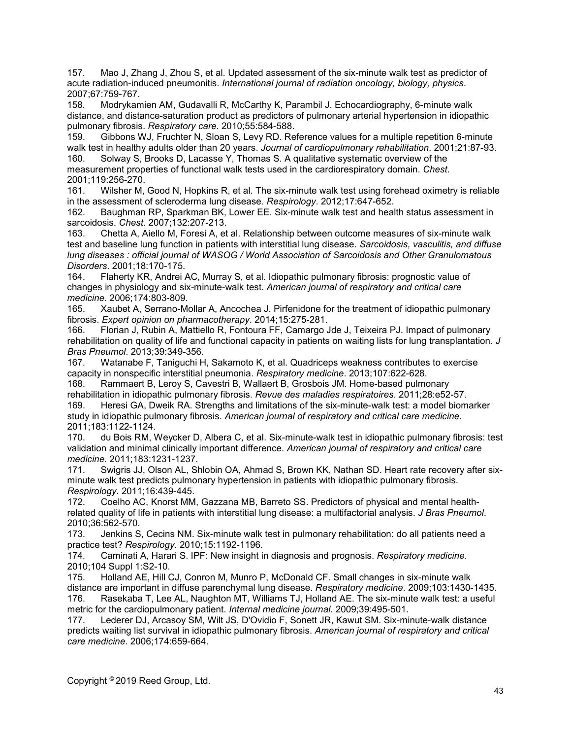157. Mao J, Zhang J, Zhou S, et al. Updated assessment of the six-minute walk test as predictor of acute radiation-induced pneumonitis. *International journal of radiation oncology, biology, physics*. 2007;67:759-767.

158. Modrykamien AM, Gudavalli R, McCarthy K, Parambil J. Echocardiography, 6-minute walk distance, and distance-saturation product as predictors of pulmonary arterial hypertension in idiopathic pulmonary fibrosis. *Respiratory care*. 2010;55:584-588.

159. Gibbons WJ, Fruchter N, Sloan S, Levy RD. Reference values for a multiple repetition 6-minute walk test in healthy adults older than 20 years. *Journal of cardiopulmonary rehabilitation*. 2001;21:87-93.<br>160. Solway S. Brooks D. Lacasse Y. Thomas S. A qualitative systematic overview of the Solway S, Brooks D, Lacasse Y, Thomas S. A qualitative systematic overview of the measurement properties of functional walk tests used in the cardiorespiratory domain. *Chest*. 2001;119:256-270.

161. Wilsher M, Good N, Hopkins R, et al. The six-minute walk test using forehead oximetry is reliable in the assessment of scleroderma lung disease. *Respirology*. 2012;17:647-652.

162. Baughman RP, Sparkman BK, Lower EE. Six-minute walk test and health status assessment in sarcoidosis. *Chest*. 2007;132:207-213.

163. Chetta A, Aiello M, Foresi A, et al. Relationship between outcome measures of six-minute walk test and baseline lung function in patients with interstitial lung disease. *Sarcoidosis, vasculitis, and diffuse lung diseases : official journal of WASOG / World Association of Sarcoidosis and Other Granulomatous Disorders*. 2001;18:170-175.

164. Flaherty KR, Andrei AC, Murray S, et al. Idiopathic pulmonary fibrosis: prognostic value of changes in physiology and six-minute-walk test. *American journal of respiratory and critical care medicine*. 2006;174:803-809.

165. Xaubet A, Serrano-Mollar A, Ancochea J. Pirfenidone for the treatment of idiopathic pulmonary fibrosis. *Expert opinion on pharmacotherapy*. 2014;15:275-281.

166. Florian J, Rubin A, Mattiello R, Fontoura FF, Camargo Jde J, Teixeira PJ. Impact of pulmonary rehabilitation on quality of life and functional capacity in patients on waiting lists for lung transplantation. *J Bras Pneumol*. 2013;39:349-356.

167. Watanabe F, Taniguchi H, Sakamoto K, et al. Quadriceps weakness contributes to exercise capacity in nonspecific interstitial pneumonia. *Respiratory medicine*. 2013;107:622-628.

168. Rammaert B, Leroy S, Cavestri B, Wallaert B, Grosbois JM. Home-based pulmonary rehabilitation in idiopathic pulmonary fibrosis. *Revue des maladies respiratoires*. 2011;28:e52-57. 169. Heresi GA, Dweik RA. Strengths and limitations of the six-minute-walk test: a model biomarker study in idiopathic pulmonary fibrosis. *American journal of respiratory and critical care medicine*. 2011;183:1122-1124.

170. du Bois RM, Weycker D, Albera C, et al. Six-minute-walk test in idiopathic pulmonary fibrosis: test validation and minimal clinically important difference. *American journal of respiratory and critical care medicine*. 2011;183:1231-1237.

171. Swigris JJ, Olson AL, Shlobin OA, Ahmad S, Brown KK, Nathan SD. Heart rate recovery after sixminute walk test predicts pulmonary hypertension in patients with idiopathic pulmonary fibrosis. *Respirology*. 2011;16:439-445.

172. Coelho AC, Knorst MM, Gazzana MB, Barreto SS. Predictors of physical and mental healthrelated quality of life in patients with interstitial lung disease: a multifactorial analysis. *J Bras Pneumol*. 2010;36:562-570.

173. Jenkins S, Cecins NM. Six-minute walk test in pulmonary rehabilitation: do all patients need a practice test? *Respirology*. 2010;15:1192-1196.

174. Caminati A, Harari S. IPF: New insight in diagnosis and prognosis. *Respiratory medicine*. 2010;104 Suppl 1:S2-10.

175. Holland AE, Hill CJ, Conron M, Munro P, McDonald CF. Small changes in six-minute walk distance are important in diffuse parenchymal lung disease. *Respiratory medicine*. 2009;103:1430-1435. 176. Rasekaba T, Lee AL, Naughton MT, Williams TJ, Holland AE. The six-minute walk test: a useful metric for the cardiopulmonary patient. *Internal medicine journal*. 2009;39:495-501.

177. Lederer DJ, Arcasoy SM, Wilt JS, D'Ovidio F, Sonett JR, Kawut SM. Six-minute-walk distance predicts waiting list survival in idiopathic pulmonary fibrosis. *American journal of respiratory and critical care medicine*. 2006;174:659-664.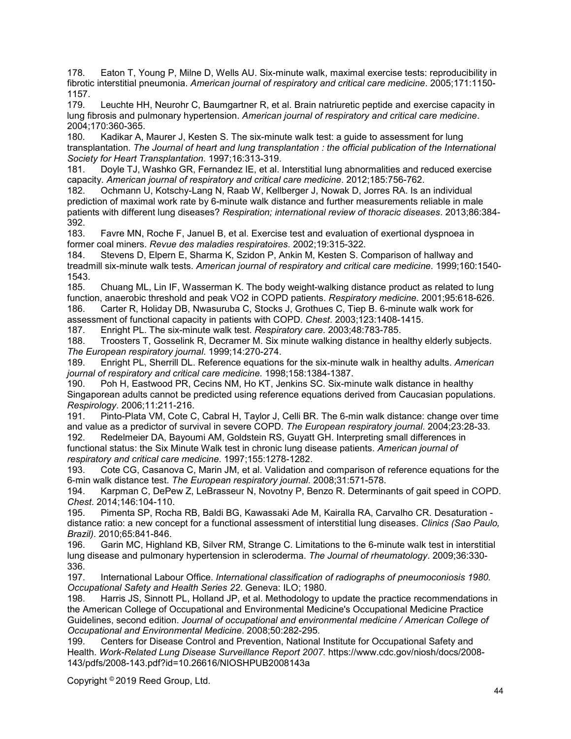178. Eaton T, Young P, Milne D, Wells AU. Six-minute walk, maximal exercise tests: reproducibility in fibrotic interstitial pneumonia. *American journal of respiratory and critical care medicine*. 2005;171:1150- 1157.<br>179.

Leuchte HH, Neurohr C, Baumgartner R, et al. Brain natriuretic peptide and exercise capacity in lung fibrosis and pulmonary hypertension. *American journal of respiratory and critical care medicine*. 2004;170:360-365.

180. Kadikar A, Maurer J, Kesten S. The six-minute walk test: a guide to assessment for lung transplantation. *The Journal of heart and lung transplantation : the official publication of the International Society for Heart Transplantation*. 1997;16:313-319.

181. Doyle TJ, Washko GR, Fernandez IE, et al. Interstitial lung abnormalities and reduced exercise capacity. *American journal of respiratory and critical care medicine*. 2012;185:756-762.

182. Ochmann U, Kotschy-Lang N, Raab W, Kellberger J, Nowak D, Jorres RA. Is an individual prediction of maximal work rate by 6-minute walk distance and further measurements reliable in male patients with different lung diseases? *Respiration; international review of thoracic diseases*. 2013;86:384- 392.

183. Favre MN, Roche F, Januel B, et al. Exercise test and evaluation of exertional dyspnoea in former coal miners. *Revue des maladies respiratoires*. 2002;19:315-322.

184. Stevens D, Elpern E, Sharma K, Szidon P, Ankin M, Kesten S. Comparison of hallway and treadmill six-minute walk tests. *American journal of respiratory and critical care medicine*. 1999;160:1540- 1543.<br>185.

185. Chuang ML, Lin IF, Wasserman K. The body weight-walking distance product as related to lung function, anaerobic threshold and peak VO2 in COPD patients. *Respiratory medicine*. 2001;95:618-626. 186. Carter R, Holiday DB, Nwasuruba C, Stocks J, Grothues C, Tiep B. 6-minute walk work for assessment of functional capacity in patients with COPD. *Chest*. 2003;123:1408-1415.

187. Enright PL. The six-minute walk test. *Respiratory care*. 2003;48:783-785.

188. Troosters T, Gosselink R, Decramer M. Six minute walking distance in healthy elderly subjects. *The European respiratory journal*. 1999;14:270-274.

189. Enright PL, Sherrill DL. Reference equations for the six-minute walk in healthy adults. *American journal of respiratory and critical care medicine*. 1998;158:1384-1387.

190. Poh H, Eastwood PR, Cecins NM, Ho KT, Jenkins SC. Six-minute walk distance in healthy Singaporean adults cannot be predicted using reference equations derived from Caucasian populations. *Respirology*. 2006;11:211-216.

191. Pinto-Plata VM, Cote C, Cabral H, Taylor J, Celli BR. The 6-min walk distance: change over time and value as a predictor of survival in severe COPD. *The European respiratory journal*. 2004;23:28-33.

192. Redelmeier DA, Bayoumi AM, Goldstein RS, Guyatt GH. Interpreting small differences in functional status: the Six Minute Walk test in chronic lung disease patients. *American journal of respiratory and critical care medicine*. 1997;155:1278-1282.

193. Cote CG, Casanova C, Marin JM, et al. Validation and comparison of reference equations for the 6-min walk distance test. *The European respiratory journal*. 2008;31:571-578.

194. Karpman C, DePew Z, LeBrasseur N, Novotny P, Benzo R. Determinants of gait speed in COPD. *Chest*. 2014;146:104-110.

195. Pimenta SP, Rocha RB, Baldi BG, Kawassaki Ade M, Kairalla RA, Carvalho CR. Desaturation distance ratio: a new concept for a functional assessment of interstitial lung diseases. *Clinics (Sao Paulo, Brazil)*. 2010;65:841-846.

196. Garin MC, Highland KB, Silver RM, Strange C. Limitations to the 6-minute walk test in interstitial lung disease and pulmonary hypertension in scleroderma. *The Journal of rheumatology*. 2009;36:330- 336.<br>197.

197. International Labour Office. *International classification of radiographs of pneumoconiosis 1980. Occupational Safety and Health Series 22*. Geneva: ILO; 1980.

198. Harris JS, Sinnott PL, Holland JP, et al. Methodology to update the practice recommendations in the American College of Occupational and Environmental Medicine's Occupational Medicine Practice Guidelines, second edition. *Journal of occupational and environmental medicine / American College of Occupational and Environmental Medicine*. 2008;50:282-295.

Centers for Disease Control and Prevention, National Institute for Occupational Safety and Health. *Work-Related Lung Disease Surveillance Report 2007.* https://www.cdc.gov/niosh/docs/2008- 143/pdfs/2008-143.pdf?id=10.26616/NIOSHPUB2008143a